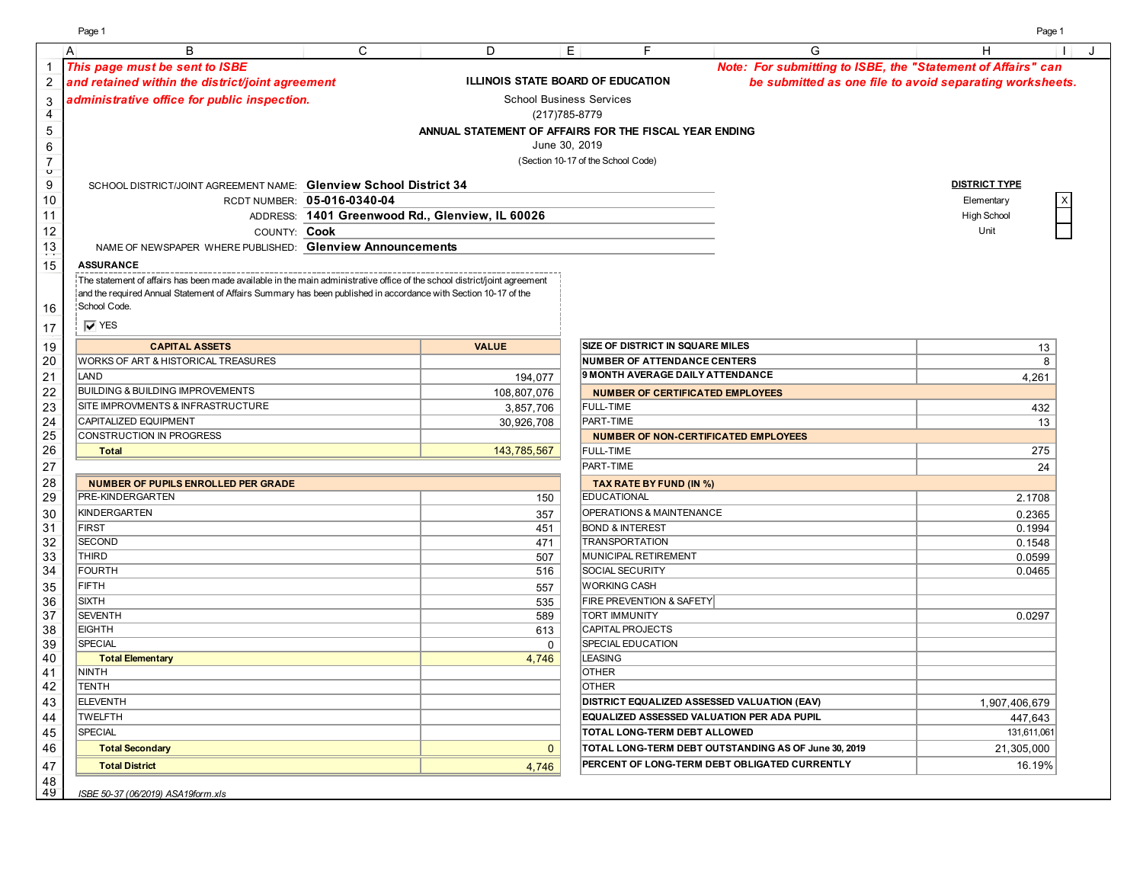Page 1 Page 1

|                               | B<br>$\overline{A}$                                                                                                       | $\mathsf{C}$                | D                                               | E                  | F                                                      | G                                                            | н<br>J                                                   |
|-------------------------------|---------------------------------------------------------------------------------------------------------------------------|-----------------------------|-------------------------------------------------|--------------------|--------------------------------------------------------|--------------------------------------------------------------|----------------------------------------------------------|
| 1                             | This page must be sent to ISBE                                                                                            |                             |                                                 |                    |                                                        | Note: For submitting to ISBE, the "Statement of Affairs" can |                                                          |
| $\overline{\mathbf{c}}$       | and retained within the district/joint agreement                                                                          |                             |                                                 |                    | ILLINOIS STATE BOARD OF EDUCATION                      |                                                              | be submitted as one file to avoid separating worksheets. |
|                               | administrative office for public inspection.                                                                              |                             |                                                 |                    | <b>School Business Services</b>                        |                                                              |                                                          |
| 3<br>$\overline{\mathcal{A}}$ |                                                                                                                           |                             |                                                 | (217) 785-8779     |                                                        |                                                              |                                                          |
| $\,$ 5 $\,$                   |                                                                                                                           |                             |                                                 |                    | ANNUAL STATEMENT OF AFFAIRS FOR THE FISCAL YEAR ENDING |                                                              |                                                          |
| $\,6$                         |                                                                                                                           |                             |                                                 | June 30, 2019      |                                                        |                                                              |                                                          |
| $\overline{7}$                |                                                                                                                           |                             |                                                 |                    | (Section 10-17 of the School Code)                     |                                                              |                                                          |
| $\circ$                       |                                                                                                                           |                             |                                                 |                    |                                                        |                                                              |                                                          |
| $\boldsymbol{9}$              | SCHOOL DISTRICT/JOINT AGREEMENT NAME: Glenview School District 34                                                         |                             |                                                 |                    |                                                        |                                                              | <b>DISTRICT TYPE</b>                                     |
| 10                            |                                                                                                                           | RCDT NUMBER: 05-016-0340-04 |                                                 |                    |                                                        |                                                              | Elementary                                               |
| 11                            |                                                                                                                           |                             | ADDRESS: 1401 Greenwood Rd., Glenview, IL 60026 |                    |                                                        |                                                              | High School                                              |
| 12                            | COUNTY: Cook                                                                                                              |                             |                                                 |                    |                                                        |                                                              | Unit                                                     |
| $\frac{13}{1}$                | NAME OF NEWSPAPER WHERE PUBLISHED: Glenview Announcements                                                                 |                             |                                                 |                    |                                                        |                                                              |                                                          |
| 15                            | <b>ASSURANCE</b>                                                                                                          |                             |                                                 |                    |                                                        |                                                              |                                                          |
|                               | The statement of affairs has been made available in the main administrative office of the school district/joint agreement |                             |                                                 |                    |                                                        |                                                              |                                                          |
|                               | and the required Annual Statement of Affairs Summary has been published in accordance with Section 10-17 of the           |                             |                                                 |                    |                                                        |                                                              |                                                          |
| 16                            | School Code.                                                                                                              |                             |                                                 |                    |                                                        |                                                              |                                                          |
| 17                            | $\overline{V}$ YES                                                                                                        |                             |                                                 |                    |                                                        |                                                              |                                                          |
| 19                            | <b>CAPITAL ASSETS</b>                                                                                                     |                             | <b>VALUE</b>                                    |                    | <b>SIZE OF DISTRICT IN SQUARE MILES</b>                |                                                              | 13                                                       |
| 20                            | WORKS OF ART & HISTORICAL TREASURES                                                                                       |                             |                                                 |                    | <b>NUMBER OF ATTENDANCE CENTERS</b>                    |                                                              | 8                                                        |
| 21                            | LAND                                                                                                                      |                             | 194,077                                         |                    | 9 MONTH AVERAGE DAILY ATTENDANCE                       |                                                              | 4,261                                                    |
| 22                            | <b>BUILDING &amp; BUILDING IMPROVEMENTS</b>                                                                               |                             | 108.807.076                                     |                    | <b>NUMBER OF CERTIFICATED EMPLOYEES</b>                |                                                              |                                                          |
| 23                            | SITE IMPROVMENTS & INFRASTRUCTURE                                                                                         |                             | 3,857,706                                       |                    | <b>FULL-TIME</b>                                       |                                                              | 432                                                      |
| 24                            | CAPITALIZED EQUIPMENT                                                                                                     |                             | 30,926,708                                      |                    | PART-TIME                                              |                                                              | 13                                                       |
| 25                            | <b>CONSTRUCTION IN PROGRESS</b>                                                                                           |                             |                                                 |                    | <b>NUMBER OF NON-CERTIFICATED EMPLOYEES</b>            |                                                              |                                                          |
| 26                            | <b>Total</b>                                                                                                              |                             | 143,785,567                                     |                    | <b>FULL-TIME</b>                                       |                                                              | 275                                                      |
| 27                            |                                                                                                                           |                             |                                                 |                    | PART-TIME                                              |                                                              | 24                                                       |
| 28                            | <b>NUMBER OF PUPILS ENROLLED PER GRADE</b>                                                                                |                             |                                                 |                    | TAX RATE BY FUND (IN %)                                |                                                              |                                                          |
| 29                            | PRE-KINDERGARTEN                                                                                                          |                             |                                                 | 150                | <b>EDUCATIONAL</b>                                     |                                                              | 2.1708                                                   |
| 30                            | <b>KINDERGARTEN</b>                                                                                                       |                             |                                                 | 357                | <b>OPERATIONS &amp; MAINTENANCE</b>                    |                                                              | 0.2365                                                   |
| 31                            | <b>FIRST</b>                                                                                                              |                             |                                                 | 451                | <b>BOND &amp; INTEREST</b>                             |                                                              | 0.1994                                                   |
| 32                            | <b>SECOND</b>                                                                                                             |                             |                                                 | 471                | <b>TRANSPORTATION</b>                                  |                                                              | 0.1548                                                   |
| 33                            | <b>THIRD</b>                                                                                                              |                             |                                                 | 507                | MUNICIPAL RETIREMENT                                   |                                                              | 0.0599                                                   |
| 34                            | <b>FOURTH</b>                                                                                                             |                             |                                                 | 516                | <b>SOCIAL SECURITY</b>                                 |                                                              | 0.0465                                                   |
| 35                            | <b>FIFTH</b>                                                                                                              |                             |                                                 | 557                | <b>WORKING CASH</b>                                    |                                                              |                                                          |
| 36                            | <b>SIXTH</b>                                                                                                              |                             |                                                 | 535                | <b>FIRE PREVENTION &amp; SAFETY</b>                    |                                                              |                                                          |
| 37                            | <b>SEVENTH</b>                                                                                                            |                             |                                                 | 589                | <b>TORT IMMUNITY</b>                                   |                                                              | 0.0297                                                   |
| 38<br>39                      | <b>EIGHTH</b><br>SPECIAL                                                                                                  |                             |                                                 | 613<br>$\mathbf 0$ | <b>CAPITAL PROJECTS</b><br><b>SPECIAL EDUCATION</b>    |                                                              |                                                          |
| 40                            | <b>Total Elementary</b>                                                                                                   |                             |                                                 | 4,746              | <b>LEASING</b>                                         |                                                              |                                                          |
| 41                            | NINTH                                                                                                                     |                             |                                                 |                    | <b>OTHER</b>                                           |                                                              |                                                          |
| 42                            | <b>TENTH</b>                                                                                                              |                             |                                                 |                    | <b>OTHER</b>                                           |                                                              |                                                          |
| 43                            | <b>ELEVENTH</b>                                                                                                           |                             |                                                 |                    | <b>DISTRICT EQUALIZED ASSESSED VALUATION (EAV)</b>     |                                                              | 1,907,406,679                                            |
| 44                            | <b>TWELFTH</b>                                                                                                            |                             |                                                 |                    | <b>EQUALIZED ASSESSED VALUATION PER ADA PUPIL</b>      |                                                              | 447,643                                                  |
| 45                            | <b>SPECIAL</b>                                                                                                            |                             |                                                 |                    | <b>TOTAL LONG-TERM DEBT ALLOWED</b>                    |                                                              | 131,611,061                                              |
| 46                            | <b>Total Secondary</b>                                                                                                    |                             |                                                 | $\mathbf{0}$       |                                                        | TOTAL LONG-TERM DEBT OUTSTANDING AS OF June 30, 2019         | 21,305,000                                               |
| 47                            | <b>Total District</b>                                                                                                     |                             |                                                 | 4,746              |                                                        | PERCENT OF LONG-TERM DEBT OBLIGATED CURRENTLY                | 16.19%                                                   |
| 48                            |                                                                                                                           |                             |                                                 |                    |                                                        |                                                              |                                                          |
| 49                            | ISBE 50-37 (06/2019) ASA19form.xls                                                                                        |                             |                                                 |                    |                                                        |                                                              |                                                          |
|                               |                                                                                                                           |                             |                                                 |                    |                                                        |                                                              |                                                          |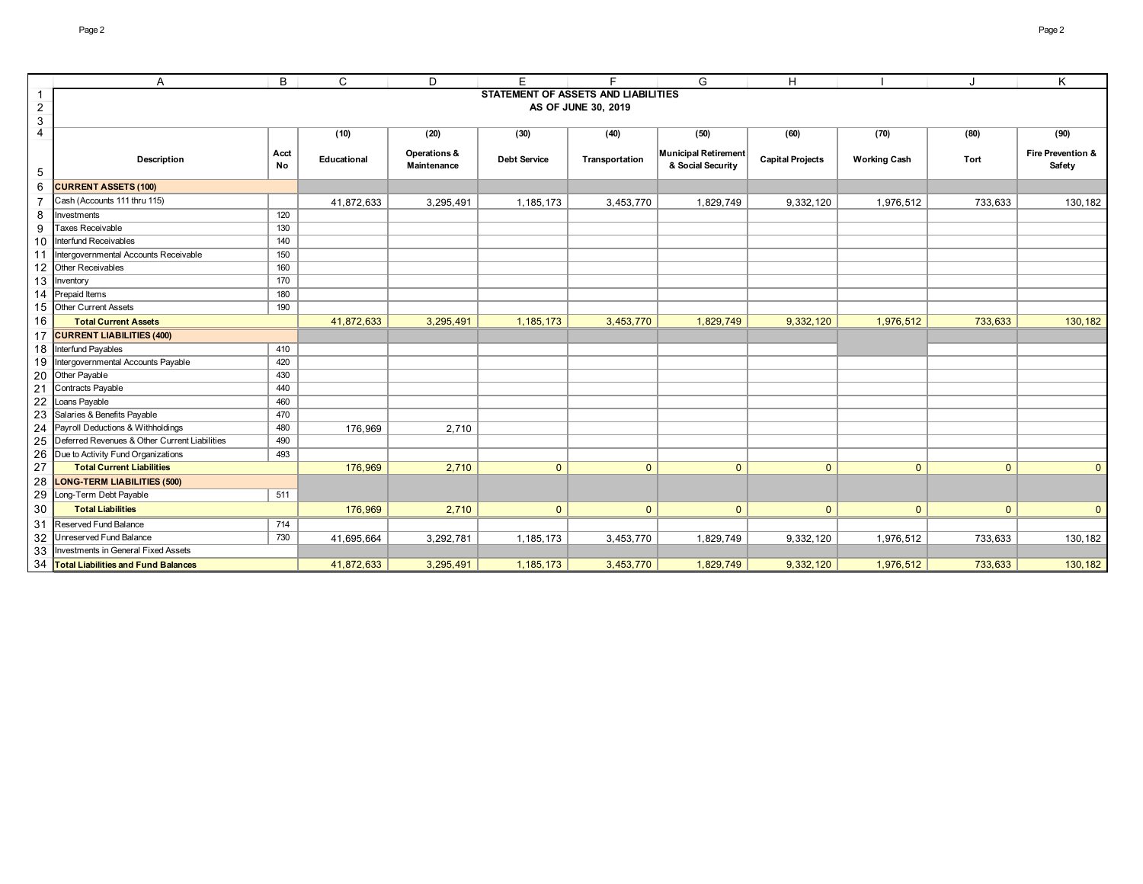|                | Α                                             | B          | C           | D                           | E                                   | E                   | G                                         | H.                      |                     |                | K                           |
|----------------|-----------------------------------------------|------------|-------------|-----------------------------|-------------------------------------|---------------------|-------------------------------------------|-------------------------|---------------------|----------------|-----------------------------|
| $\mathbf{1}$   |                                               |            |             |                             | STATEMENT OF ASSETS AND LIABILITIES |                     |                                           |                         |                     |                |                             |
| $\overline{2}$ |                                               |            |             |                             |                                     | AS OF JUNE 30, 2019 |                                           |                         |                     |                |                             |
| $\mathbf{3}$   |                                               |            |             |                             |                                     |                     |                                           |                         |                     |                |                             |
| $\overline{4}$ |                                               |            | (10)        | (20)                        | (30)                                | (40)                | (50)                                      | (60)                    | (70)                | (80)           | (90)                        |
| 5              | Description                                   | Acct<br>No | Educational | Operations &<br>Maintenance | <b>Debt Service</b>                 | Transportation      | Municipal Retirement<br>& Social Security | <b>Capital Projects</b> | <b>Working Cash</b> | Tort           | Fire Prevention &<br>Safety |
| 6              | <b>CURRENT ASSETS (100)</b>                   |            |             |                             |                                     |                     |                                           |                         |                     |                |                             |
| $\overline{7}$ | Cash (Accounts 111 thru 115)                  |            | 41,872,633  | 3,295,491                   | 1,185,173                           | 3,453,770           | 1,829,749                                 | 9,332,120               | 1,976,512           | 733,633        | 130,182                     |
| 8              | Investments                                   | 120        |             |                             |                                     |                     |                                           |                         |                     |                |                             |
| 9              | <b>Taxes Receivable</b>                       | 130        |             |                             |                                     |                     |                                           |                         |                     |                |                             |
| 10             | Interfund Receivables                         | 140        |             |                             |                                     |                     |                                           |                         |                     |                |                             |
| 11             | Intergovernmental Accounts Receivable         | 150        |             |                             |                                     |                     |                                           |                         |                     |                |                             |
|                | 12 Other Receivables                          | 160        |             |                             |                                     |                     |                                           |                         |                     |                |                             |
|                | 13 Inventory                                  | 170        |             |                             |                                     |                     |                                           |                         |                     |                |                             |
| 14             | Prepaid Items                                 | 180        |             |                             |                                     |                     |                                           |                         |                     |                |                             |
|                | 15 Other Current Assets                       | 190        |             |                             |                                     |                     |                                           |                         |                     |                |                             |
| 16             | <b>Total Current Assets</b>                   |            | 41,872,633  | 3,295,491                   | 1, 185, 173                         | 3,453,770           | 1,829,749                                 | 9,332,120               | 1,976,512           | 733,633        | 130,182                     |
| 17             | <b>CURRENT LIABILITIES (400)</b>              |            |             |                             |                                     |                     |                                           |                         |                     |                |                             |
| 18             | Interfund Payables                            | 410        |             |                             |                                     |                     |                                           |                         |                     |                |                             |
| 19             | Intergovernmental Accounts Payable            | 420        |             |                             |                                     |                     |                                           |                         |                     |                |                             |
|                | 20 Other Payable                              | 430        |             |                             |                                     |                     |                                           |                         |                     |                |                             |
| 21             | Contracts Payable                             | 440        |             |                             |                                     |                     |                                           |                         |                     |                |                             |
| 22             | Loans Payable                                 | 460        |             |                             |                                     |                     |                                           |                         |                     |                |                             |
| 23             | Salaries & Benefits Payable                   | 470        |             |                             |                                     |                     |                                           |                         |                     |                |                             |
| 24             | Payroll Deductions & Withholdings             | 480        | 176,969     | 2,710                       |                                     |                     |                                           |                         |                     |                |                             |
| 25             | Deferred Revenues & Other Current Liabilities | 490        |             |                             |                                     |                     |                                           |                         |                     |                |                             |
| 26             | Due to Activity Fund Organizations            | 493        |             |                             |                                     |                     |                                           |                         |                     |                |                             |
| 27             | <b>Total Current Liabilities</b>              |            | 176,969     | 2,710                       | $\mathbf{0}$                        | $\mathbf{0}$        | $\overline{0}$                            | $\mathbf{0}$            | $\mathbf{0}$        | $\overline{0}$ | $\overline{0}$              |
| 28             | <b>LONG-TERM LIABILITIES (500)</b>            |            |             |                             |                                     |                     |                                           |                         |                     |                |                             |
| 29             | Long-Term Debt Payable                        | 511        |             |                             |                                     |                     |                                           |                         |                     |                |                             |
| 30             | <b>Total Liabilities</b>                      |            | 176,969     | 2,710                       | $\mathbf{0}$                        | $\mathbf{0}$        | $\mathbf{0}$                              | $\mathbf{0}$            | $\overline{0}$      | $\overline{0}$ | $\overline{0}$              |
| 31             | Reserved Fund Balance                         | 714        |             |                             |                                     |                     |                                           |                         |                     |                |                             |
| 32             | Unreserved Fund Balance                       | 730        | 41,695,664  | 3,292,781                   | 1,185,173                           | 3,453,770           | 1,829,749                                 | 9,332,120               | 1,976,512           | 733,633        | 130,182                     |
| 33             | Investments in General Fixed Assets           |            |             |                             |                                     |                     |                                           |                         |                     |                |                             |
|                | 34 Total Liabilities and Fund Balances        |            | 41.872.633  | 3,295,491                   | 1,185,173                           | 3,453,770           | 1,829,749                                 | 9,332,120               | 1.976.512           | 733.633        | 130,182                     |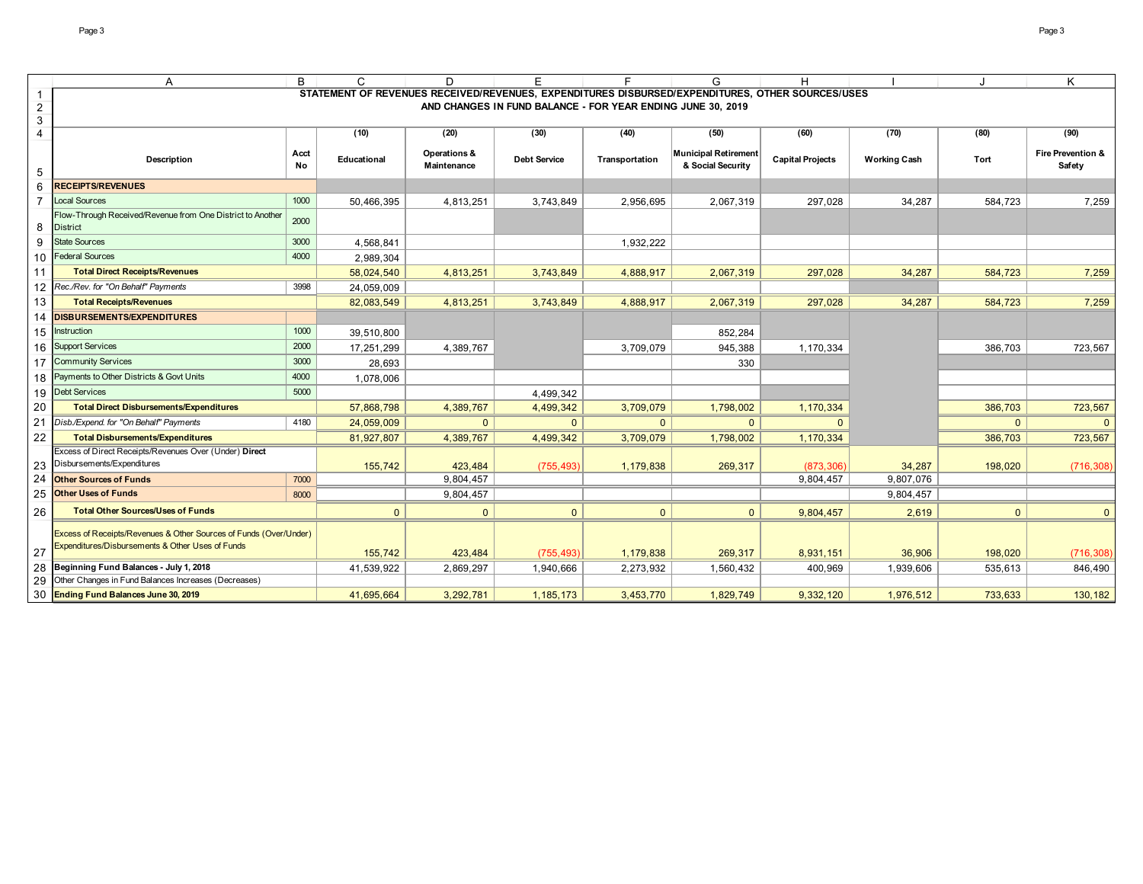|                | Α                                                                 | B    | C            | D            |                                                             |                | G                                                                                                | н                       |                     |              | K                            |
|----------------|-------------------------------------------------------------------|------|--------------|--------------|-------------------------------------------------------------|----------------|--------------------------------------------------------------------------------------------------|-------------------------|---------------------|--------------|------------------------------|
| 1              |                                                                   |      |              |              |                                                             |                | STATEMENT OF REVENUES RECEIVED/REVENUES, EXPENDITURES DISBURSED/EXPENDITURES, OTHER SOURCES/USES |                         |                     |              |                              |
| $\overline{a}$ |                                                                   |      |              |              | AND CHANGES IN FUND BALANCE - FOR YEAR ENDING JUNE 30, 2019 |                |                                                                                                  |                         |                     |              |                              |
| 3              |                                                                   |      |              |              |                                                             |                |                                                                                                  |                         |                     |              |                              |
| 4              |                                                                   |      | (10)         | (20)         | (30)                                                        | (40)           | (50)                                                                                             | (60)                    | (70)                | (80)         | (90)                         |
|                | <b>Description</b>                                                | Acct | Educational  | Operations & | <b>Debt Service</b>                                         | Transportation | <b>Municipal Retirement</b>                                                                      | <b>Capital Projects</b> | <b>Working Cash</b> | Tort         | <b>Fire Prevention &amp;</b> |
| 5              |                                                                   | No   |              | Maintenance  |                                                             |                | & Social Security                                                                                |                         |                     |              | Safety                       |
| 6              | <b>RECEIPTS/REVENUES</b>                                          |      |              |              |                                                             |                |                                                                                                  |                         |                     |              |                              |
| $\overline{7}$ | <b>Local Sources</b>                                              | 1000 | 50,466,395   | 4,813,251    | 3,743,849                                                   | 2,956,695      | 2,067,319                                                                                        | 297,028                 | 34,287              | 584,723      | 7,259                        |
|                | Flow-Through Received/Revenue from One District to Another        |      |              |              |                                                             |                |                                                                                                  |                         |                     |              |                              |
| 8              | <b>District</b>                                                   | 2000 |              |              |                                                             |                |                                                                                                  |                         |                     |              |                              |
| 9              | <b>State Sources</b>                                              | 3000 | 4,568,841    |              |                                                             | 1,932,222      |                                                                                                  |                         |                     |              |                              |
|                | 10 Federal Sources                                                | 4000 | 2,989,304    |              |                                                             |                |                                                                                                  |                         |                     |              |                              |
| 11             | <b>Total Direct Receipts/Revenues</b>                             |      | 58,024,540   | 4,813,251    | 3,743,849                                                   | 4,888,917      | 2,067,319                                                                                        | 297,028                 | 34,287              | 584,723      | 7,259                        |
| 12             | Rec./Rev. for "On Behalf" Payments                                | 3998 | 24,059,009   |              |                                                             |                |                                                                                                  |                         |                     |              |                              |
| 13             | <b>Total Receipts/Revenues</b>                                    |      | 82,083,549   | 4,813,251    | 3,743,849                                                   | 4,888,917      | 2,067,319                                                                                        | 297,028                 | 34,287              | 584,723      | 7,259                        |
| 14             | <b>DISBURSEMENTS/EXPENDITURES</b>                                 |      |              |              |                                                             |                |                                                                                                  |                         |                     |              |                              |
| 15             | Instruction                                                       | 1000 | 39,510,800   |              |                                                             |                | 852,284                                                                                          |                         |                     |              |                              |
| 16             | <b>Support Services</b>                                           | 2000 | 17,251,299   | 4,389,767    |                                                             | 3,709,079      | 945,388                                                                                          | 1,170,334               |                     | 386,703      | 723,567                      |
|                | 17 Community Services                                             | 3000 | 28,693       |              |                                                             |                | 330                                                                                              |                         |                     |              |                              |
| 18             | Payments to Other Districts & Govt Units                          | 4000 | 1,078,006    |              |                                                             |                |                                                                                                  |                         |                     |              |                              |
|                | 19 Debt Services                                                  | 5000 |              |              | 4,499,342                                                   |                |                                                                                                  |                         |                     |              |                              |
| 20             | <b>Total Direct Disbursements/Expenditures</b>                    |      | 57,868,798   | 4,389,767    | 4,499,342                                                   | 3,709,079      | 1,798,002                                                                                        | 1,170,334               |                     | 386,703      | 723,567                      |
| 21             | Disb./Expend. for "On Behalf" Payments                            | 4180 | 24,059,009   | $\mathbf{0}$ | $\mathbf{0}$                                                | $\mathbf{0}$   | $\Omega$                                                                                         |                         |                     | $\mathbf{0}$ | $\mathbf{0}$                 |
| 22             | <b>Total Disbursements/Expenditures</b>                           |      | 81,927,807   | 4,389,767    | 4,499,342                                                   | 3,709,079      | 1,798,002                                                                                        | 1,170,334               |                     | 386,703      | 723,567                      |
|                | Excess of Direct Receipts/Revenues Over (Under) Direct            |      |              |              |                                                             |                |                                                                                                  |                         |                     |              |                              |
| 23             | Disbursements/Expenditures                                        |      | 155,742      | 423,484      | (755, 493)                                                  | 1,179,838      | 269,317                                                                                          | (873, 306)              | 34,287              | 198,020      | (716, 308)                   |
| 24             | <b>Other Sources of Funds</b>                                     | 7000 |              | 9,804,457    |                                                             |                |                                                                                                  | 9,804,457               | 9,807,076           |              |                              |
| 25             | <b>Other Uses of Funds</b>                                        | 8000 |              | 9,804,457    |                                                             |                |                                                                                                  |                         | 9,804,457           |              |                              |
| 26             | <b>Total Other Sources/Uses of Funds</b>                          |      | $\mathbf{0}$ | $\mathbf{0}$ | $\mathbf{0}$                                                | $\mathbf{0}$   | $\mathbf{0}$                                                                                     | 9,804,457               | 2,619               | $\mathbf{0}$ | $\mathbf{0}$                 |
|                | Excess of Receipts/Revenues & Other Sources of Funds (Over/Under) |      |              |              |                                                             |                |                                                                                                  |                         |                     |              |                              |
|                | Expenditures/Disbursements & Other Uses of Funds                  |      |              |              |                                                             |                |                                                                                                  |                         |                     |              |                              |
| 27             |                                                                   |      | 155,742      | 423,484      | (755, 493)                                                  | 1,179,838      | 269,317                                                                                          | 8,931,151               | 36,906              | 198,020      | (716, 308)                   |
| 28             | Beginning Fund Balances - July 1, 2018                            |      | 41,539,922   | 2,869,297    | 1,940,666                                                   | 2,273,932      | 1,560,432                                                                                        | 400,969                 | 1,939,606           | 535,613      | 846,490                      |
| 29             | Other Changes in Fund Balances Increases (Decreases)              |      |              |              |                                                             |                |                                                                                                  |                         |                     |              |                              |
|                | 30 Ending Fund Balances June 30, 2019                             |      | 41,695,664   | 3,292,781    | 1, 185, 173                                                 | 3,453,770      | 1,829,749                                                                                        | 9,332,120               | 1,976,512           | 733,633      | 130,182                      |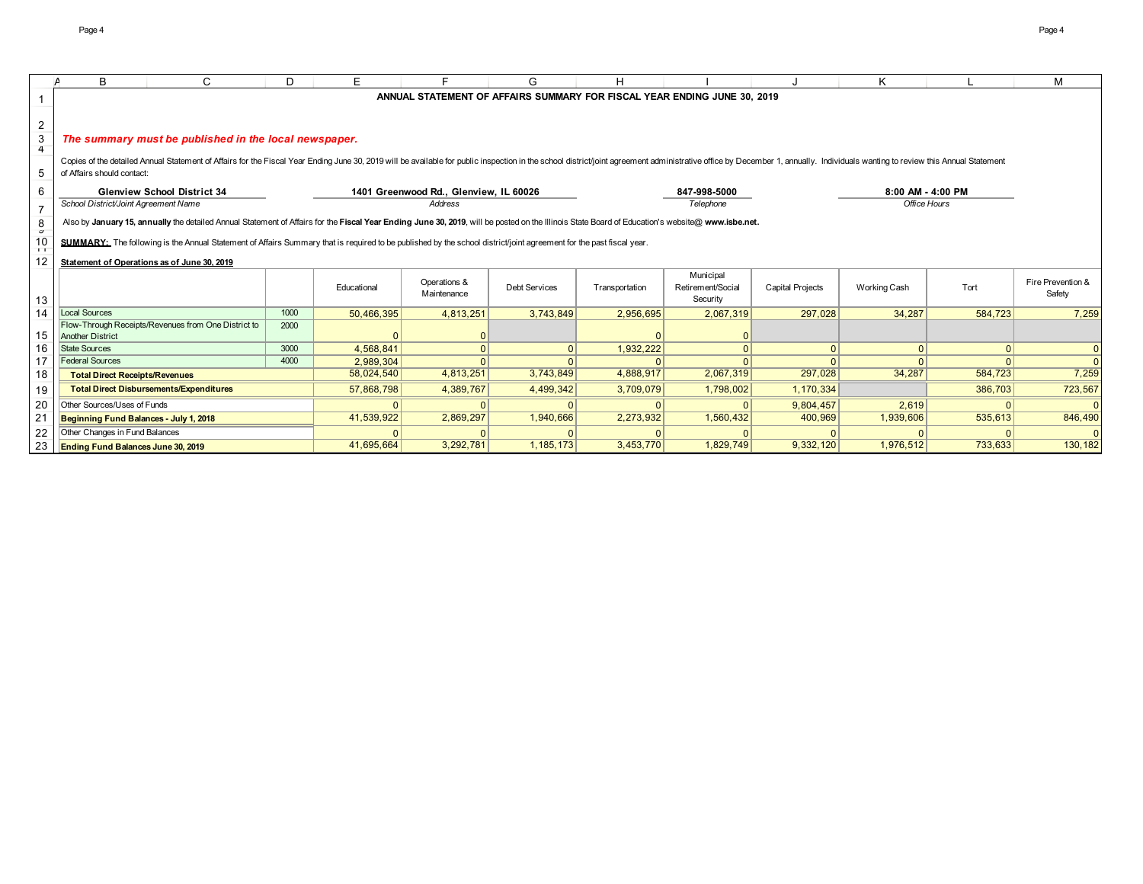|                | B                                         | C                                                                                                                                                                                                                              | D.   | E           |                                        | G                    | н                                                                        |                   |                         | K                 |          | м                           |
|----------------|-------------------------------------------|--------------------------------------------------------------------------------------------------------------------------------------------------------------------------------------------------------------------------------|------|-------------|----------------------------------------|----------------------|--------------------------------------------------------------------------|-------------------|-------------------------|-------------------|----------|-----------------------------|
|                |                                           |                                                                                                                                                                                                                                |      |             |                                        |                      | ANNUAL STATEMENT OF AFFAIRS SUMMARY FOR FISCAL YEAR ENDING JUNE 30, 2019 |                   |                         |                   |          |                             |
|                |                                           |                                                                                                                                                                                                                                |      |             |                                        |                      |                                                                          |                   |                         |                   |          |                             |
| $\overline{2}$ |                                           |                                                                                                                                                                                                                                |      |             |                                        |                      |                                                                          |                   |                         |                   |          |                             |
| 3              |                                           | The summary must be published in the local newspaper.                                                                                                                                                                          |      |             |                                        |                      |                                                                          |                   |                         |                   |          |                             |
| $\overline{4}$ |                                           |                                                                                                                                                                                                                                |      |             |                                        |                      |                                                                          |                   |                         |                   |          |                             |
|                |                                           | Copies of the detailed Annual Statement of Affairs for the Fiscal Year Ending June 30, 2019 will be available for public inspection in the school district/joint agreement administrative office by December 1, annually. Indi |      |             |                                        |                      |                                                                          |                   |                         |                   |          |                             |
| 5              | of Affairs should contact:                |                                                                                                                                                                                                                                |      |             |                                        |                      |                                                                          |                   |                         |                   |          |                             |
| 6              |                                           | <b>Glenview School District 34</b>                                                                                                                                                                                             |      |             | 1401 Greenwood Rd., Glenview, IL 60026 |                      |                                                                          | 847-998-5000      |                         | 8:00 AM - 4:00 PM |          |                             |
| 7              | School District/Joint Agreement Name      |                                                                                                                                                                                                                                |      |             | Address                                |                      |                                                                          | Telephone         |                         | Office Hours      |          |                             |
| 8              |                                           | Also by January 15, annually the detailed Annual Statement of Affairs for the Fiscal Year Ending June 30, 2019, will be posted on the Illinois State Board of Education's website@ www.isbe.net.                               |      |             |                                        |                      |                                                                          |                   |                         |                   |          |                             |
| $\sigma$       |                                           |                                                                                                                                                                                                                                |      |             |                                        |                      |                                                                          |                   |                         |                   |          |                             |
| 10<br>$\top$   |                                           | SUMMARY: The following is the Annual Statement of Affairs Summary that is required to be published by the school district/joint agreement for the past fiscal year.                                                            |      |             |                                        |                      |                                                                          |                   |                         |                   |          |                             |
| 12             |                                           | Statement of Operations as of June 30, 2019                                                                                                                                                                                    |      |             |                                        |                      |                                                                          |                   |                         |                   |          |                             |
|                |                                           |                                                                                                                                                                                                                                |      |             |                                        |                      |                                                                          | Municipal         |                         |                   |          |                             |
|                |                                           |                                                                                                                                                                                                                                |      | Educational | Operations &<br>Maintenance            | <b>Debt Services</b> | Transportation                                                           | Retirement/Social | <b>Capital Projects</b> | Working Cash      | Tort     | Fire Prevention &<br>Safety |
| 13             |                                           |                                                                                                                                                                                                                                |      |             |                                        |                      |                                                                          | Security          |                         |                   |          |                             |
| 14             | Local Sources                             |                                                                                                                                                                                                                                | 1000 | 50,466,395  | 4,813,251                              | 3,743,849            | 2,956,695                                                                | 2.067.319         | 297.028                 | 34.287            | 584.723  | 7.259                       |
| 15             | <b>Another District</b>                   | Flow-Through Receipts/Revenues from One District to                                                                                                                                                                            | 2000 |             |                                        |                      |                                                                          |                   |                         |                   |          |                             |
| 16             | <b>State Sources</b>                      |                                                                                                                                                                                                                                | 3000 | 4.568.841   |                                        | $\Omega$             | 1,932,222                                                                |                   | $\Omega$                | $\Omega$          | $\Omega$ |                             |
| 17             | <b>Federal Sources</b>                    |                                                                                                                                                                                                                                | 4000 | 2.989.304   |                                        |                      |                                                                          |                   |                         |                   |          |                             |
| 18             | <b>Total Direct Receipts/Revenues</b>     |                                                                                                                                                                                                                                |      | 58,024,540  | 4,813,251                              | 3,743,849            | 4,888,917                                                                | 2,067,319         | 297,028                 | 34,287            | 584,723  | 7,259                       |
| 19             |                                           | <b>Total Direct Disbursements/Expenditures</b>                                                                                                                                                                                 |      | 57,868,798  | 4,389,767                              | 4,499,342            | 3,709,079                                                                | 1,798,002         | 1,170,334               |                   | 386,703  | 723,567                     |
|                | Other Sources/Uses of Funds               |                                                                                                                                                                                                                                |      |             |                                        |                      |                                                                          |                   | 9.804.457               | 2.619             |          |                             |
| 20<br>21       | Beginning Fund Balances - July 1, 2018    |                                                                                                                                                                                                                                |      | 41,539,922  | 2,869,297                              | 1,940,666            | 2,273,932                                                                | 1,560,432         | 400,969                 | 1,939,606         | 535,613  | 846,490                     |
| 22             | Other Changes in Fund Balances            |                                                                                                                                                                                                                                |      |             |                                        |                      |                                                                          |                   |                         |                   |          |                             |
|                |                                           |                                                                                                                                                                                                                                |      | 41,695,664  | 3,292,781                              | 1, 185, 173          | 3,453,770                                                                | 1,829,749         | 9,332,120               | 1,976,512         | 733,633  | 130,182                     |
| 23             | <b>Ending Fund Balances June 30, 2019</b> |                                                                                                                                                                                                                                |      |             |                                        |                      |                                                                          |                   |                         |                   |          |                             |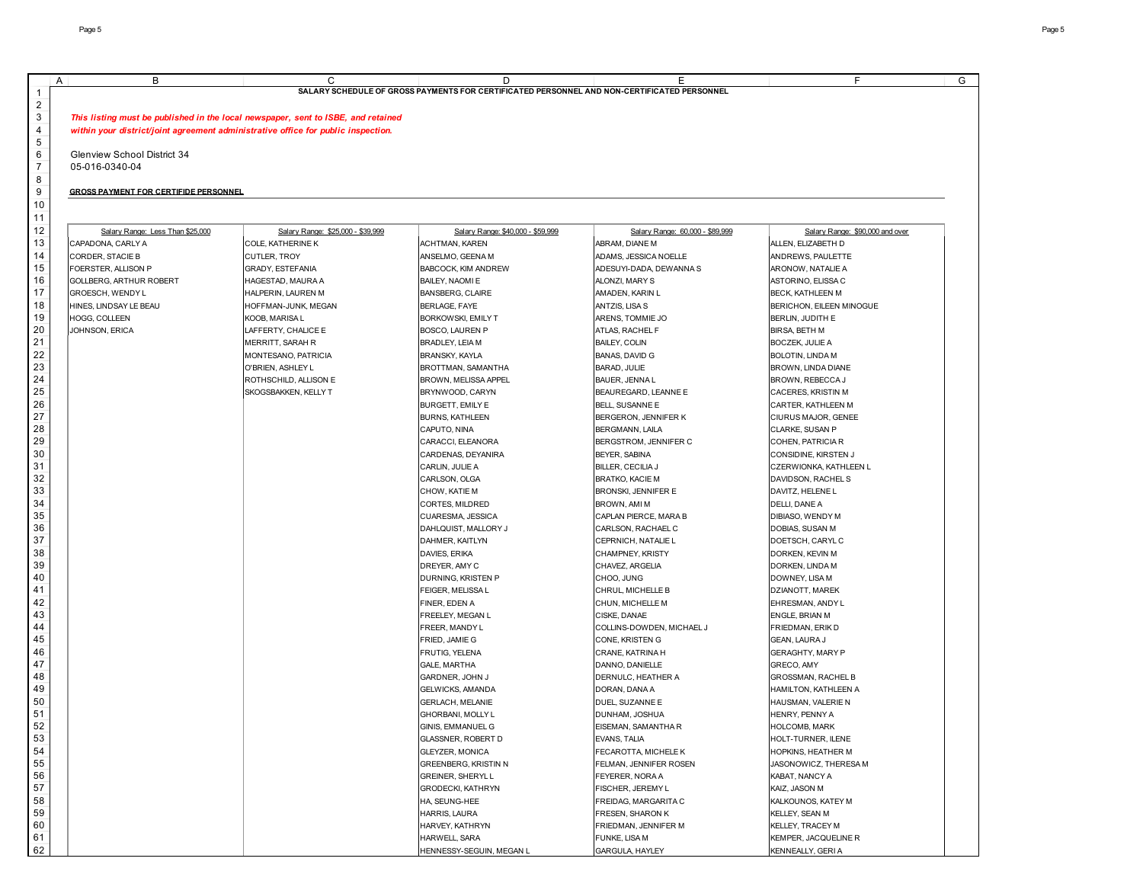| В                                            | С                                                                                 | D                                                                                           | Ε                               | F                               |
|----------------------------------------------|-----------------------------------------------------------------------------------|---------------------------------------------------------------------------------------------|---------------------------------|---------------------------------|
|                                              |                                                                                   | SALARY SCHEDULE OF GROSS PAYMENTS FOR CERTIFICATED PERSONNEL AND NON-CERTIFICATED PERSONNEL |                                 |                                 |
|                                              |                                                                                   |                                                                                             |                                 |                                 |
|                                              | This listing must be published in the local newspaper, sent to ISBE, and retained |                                                                                             |                                 |                                 |
|                                              | within your district/joint agreement administrative office for public inspection. |                                                                                             |                                 |                                 |
| Glenview School District 34                  |                                                                                   |                                                                                             |                                 |                                 |
| 05-016-0340-04                               |                                                                                   |                                                                                             |                                 |                                 |
|                                              |                                                                                   |                                                                                             |                                 |                                 |
| <b>GROSS PAYMENT FOR CERTIFIDE PERSONNEL</b> |                                                                                   |                                                                                             |                                 |                                 |
|                                              |                                                                                   |                                                                                             |                                 |                                 |
|                                              |                                                                                   |                                                                                             |                                 |                                 |
| Salary Range: Less Than \$25,000             | Salary Range: \$25,000 - \$39.999                                                 | Salary Range: \$40,000 - \$59,999                                                           | Salary Range: 60,000 - \$89,999 | Salary Range: \$90,000 and over |
| CAPADONA, CARLY A                            | COLE, KATHERINE K                                                                 | <b>ACHTMAN, KAREN</b>                                                                       | ABRAM, DIANE M                  | ALLEN, ELIZABETH D              |
| CORDER, STACIE B                             | CUTLER, TROY                                                                      | ANSELMO, GEENA M                                                                            | ADAMS, JESSICA NOELLE           | ANDREWS, PAULETTE               |
| FOERSTER, ALLISON P                          | GRADY, ESTEFANIA                                                                  | BABCOCK, KIM ANDREW                                                                         | ADESUYI-DADA, DEWANNA S         | ARONOW, NATALIE A               |
| GOLLBERG, ARTHUR ROBERT                      | HAGESTAD, MAURA A                                                                 | BAILEY, NAOMI E                                                                             | ALONZI, MARY S                  | ASTORINO, ELISSA C              |
| GROESCH, WENDY L                             | HALPERIN, LAUREN M                                                                | BANSBERG, CLAIRE                                                                            | AMADEN, KARIN L                 | BECK, KATHLEEN M                |
| HINES, LINDSAY LE BEAU                       | HOFFMAN-JUNK, MEGAN                                                               | <b>BERLAGE, FAYE</b>                                                                        | ANTZIS, LISA S                  | BERICHON, EILEEN MINOGUE        |
| <b>HOGG, COLLEEN</b>                         | KOOB, MARISA L                                                                    | BORKOWSKI, EMILY T                                                                          | ARENS, TOMMIE JO                | BERLIN, JUDITH E                |
| JOHNSON, ERICA                               | LAFFERTY, CHALICE E                                                               | BOSCO, LAUREN P                                                                             | ATLAS, RACHEL F                 | <b>BIRSA, BETH M</b>            |
|                                              | <b>MERRITT, SARAH R</b>                                                           | BRADLEY, LEIA M                                                                             | <b>BAILEY, COLIN</b>            | <b>BOCZEK, JULIE A</b>          |
|                                              | MONTESANO, PATRICIA                                                               | BRANSKY, KAYLA                                                                              | <b>BANAS, DAVID G</b>           | BOLOTIN, LINDA M                |
|                                              | O'BRIEN, ASHLEY L                                                                 | BROTTMAN, SAMANTHA                                                                          | BARAD, JULIE                    | BROWN, LINDA DIANE              |
|                                              | ROTHSCHILD, ALLISON E                                                             | <b>BROWN, MELISSA APPEL</b>                                                                 | BAUER, JENNA L                  | BROWN, REBECCA J                |
|                                              | SKOGSBAKKEN, KELLY T                                                              | BRYNWOOD, CARYN                                                                             | BEAUREGARD, LEANNE E            | CACERES, KRISTIN M              |
|                                              |                                                                                   | BURGETT, EMILY E                                                                            | BELL, SUSANNE E                 | CARTER, KATHLEEN M              |
|                                              |                                                                                   | <b>BURNS, KATHLEEN</b>                                                                      | BERGERON, JENNIFER K            | CIURUS MAJOR, GENEE             |
|                                              |                                                                                   | CAPUTO, NINA                                                                                | BERGMANN, LAILA                 | CLARKE, SUSAN P                 |
|                                              |                                                                                   | CARACCI, ELEANORA                                                                           | BERGSTROM, JENNIFER C           | COHEN, PATRICIA R               |
|                                              |                                                                                   | CARDENAS, DEYANIRA                                                                          | BEYER, SABINA                   | CONSIDINE, KIRSTEN J            |
|                                              |                                                                                   | CARLIN, JULIE A                                                                             | BILLER, CECILIA J               | CZERWIONKA, KATHLEEN L          |
|                                              |                                                                                   | CARLSON, OLGA                                                                               | <b>BRATKO, KACIE M</b>          | DAVIDSON, RACHEL S              |
|                                              |                                                                                   | CHOW, KATIE M                                                                               | BRONSKI, JENNIFER E             | DAVITZ, HELENE L                |
|                                              |                                                                                   | CORTES, MILDRED                                                                             | BROWN, AMI M                    | DELLI, DANE A                   |
|                                              |                                                                                   | CUARESMA, JESSICA                                                                           | CAPLAN PIERCE, MARA B           | DIBIASO, WENDY M                |
|                                              |                                                                                   | DAHLQUIST, MALLORY J                                                                        | CARLSON, RACHAEL C              | DOBIAS, SUSAN M                 |
|                                              |                                                                                   | DAHMER, KAITLYN                                                                             | CEPRNICH, NATALIE L             | DOETSCH, CARYL C                |
|                                              |                                                                                   | DAVIES, ERIKA                                                                               | CHAMPNEY, KRISTY                | DORKEN, KEVIN M                 |
|                                              |                                                                                   | DREYER, AMY C                                                                               | CHAVEZ, ARGELIA                 | DORKEN, LINDA M                 |
|                                              |                                                                                   | DURNING, KRISTEN P                                                                          | CHOO, JUNG                      | DOWNEY, LISA M                  |
|                                              |                                                                                   | FEIGER, MELISSA L                                                                           | CHRUL, MICHELLE B               | DZIANOTT, MAREK                 |
|                                              |                                                                                   | FINER, EDEN A                                                                               | CHUN, MICHELLE M                | EHRESMAN, ANDY L                |
|                                              |                                                                                   | FREELEY, MEGAN L                                                                            | CISKE, DANAE                    | ENGLE, BRIAN M                  |
|                                              |                                                                                   | FREER, MANDY L                                                                              | COLLINS-DOWDEN, MICHAEL J       | FRIEDMAN, ERIK D                |
|                                              |                                                                                   | FRIED, JAMIE G                                                                              | CONE, KRISTEN G                 | GEAN, LAURA J                   |
|                                              |                                                                                   | FRUTIG, YELENA                                                                              | CRANE, KATRINA H                | GERAGHTY, MARY P                |
|                                              |                                                                                   | GALE, MARTHA                                                                                | DANNO, DANIELLE                 | GRECO, AMY                      |
|                                              |                                                                                   | GARDNER, JOHN J                                                                             | DERNULC, HEATHER A              | GROSSMAN, RACHEL B              |
|                                              |                                                                                   | GELWICKS, AMANDA                                                                            | DORAN, DANA A                   | HAMILTON, KATHLEEN A            |
|                                              |                                                                                   | GERLACH, MELANIE                                                                            | DUEL, SUZANNE E                 | HAUSMAN, VALERIE N              |
|                                              |                                                                                   | GHORBANI, MOLLY L                                                                           | DUNHAM, JOSHUA                  | HENRY, PENNY A                  |
|                                              |                                                                                   | GINIS, EMMANUEL G                                                                           | EISEMAN, SAMANTHA R             | <b>HOLCOMB, MARK</b>            |
|                                              |                                                                                   | GLASSNER, ROBERT D                                                                          | EVANS, TALIA                    | HOLT-TURNER, ILENE              |
|                                              |                                                                                   | GLEYZER, MONICA                                                                             | FECAROTTA, MICHELE K            | HOPKINS, HEATHER M              |
|                                              |                                                                                   | GREENBERG, KRISTIN N                                                                        | FELMAN, JENNIFER ROSEN          | JASONOWICZ, THERESA M           |
|                                              |                                                                                   | GREINER, SHERYLL                                                                            | FEYERER, NORA A                 | KABAT, NANCY A                  |
|                                              |                                                                                   | GRODECKI, KATHRYN                                                                           | FISCHER, JEREMY L               | KAIZ, JASON M                   |
|                                              |                                                                                   | HA, SEUNG-HEE                                                                               | FREIDAG, MARGARITA C            | KALKOUNOS, KATEY M              |
|                                              |                                                                                   | HARRIS, LAURA                                                                               | FRESEN, SHARON K                | KELLEY, SEAN M                  |
|                                              |                                                                                   | HARVEY, KATHRYN                                                                             | FRIEDMAN, JENNIFER M            | KELLEY, TRACEY M                |
|                                              |                                                                                   | HARWELL, SARA                                                                               | FUNKE, LISA M                   | KEMPER, JACQUELINE R            |
|                                              |                                                                                   | HENNESSY-SEGUIN, MEGAN L                                                                    | GARGULA, HAYLEY                 | KENNEALLY, GERIA                |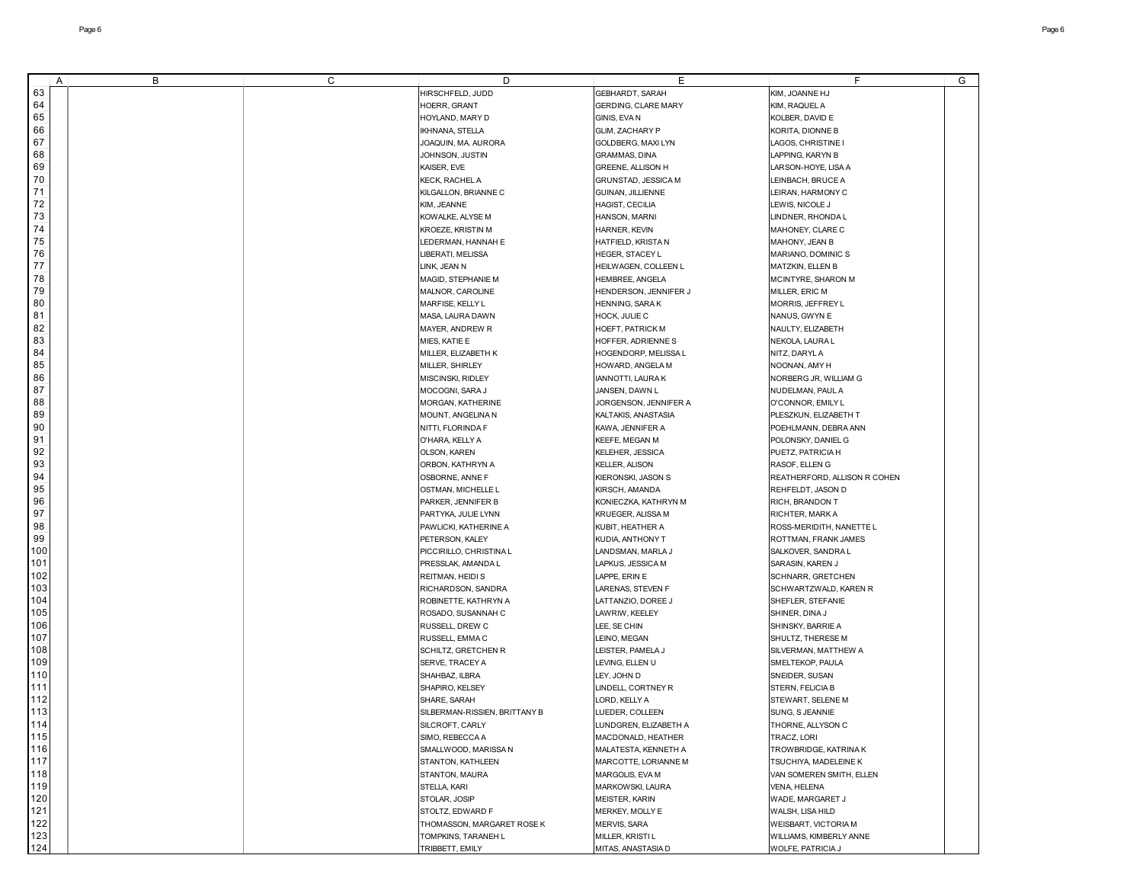| A   | B | C | D                             | Ε                       | F                            | G |
|-----|---|---|-------------------------------|-------------------------|------------------------------|---|
| 63  |   |   | HIRSCHFELD, JUDD              | GEBHARDT, SARAH         | KIM, JOANNE HJ               |   |
| 64  |   |   | HOERR, GRANT                  | GERDING, CLARE MARY     | KIM, RAQUEL A                |   |
|     |   |   |                               |                         |                              |   |
| 65  |   |   | HOYLAND, MARY D               | GINIS, EVA N            | KOLBER, DAVID E              |   |
| 66  |   |   | <b>IKHNANA, STELLA</b>        | GLIM, ZACHARY P         | KORITA, DIONNE B             |   |
| 67  |   |   | JOAQUIN, MA. AURORA           | GOLDBERG, MAXI LYN      | LAGOS, CHRISTINE I           |   |
| 68  |   |   | JOHNSON, JUSTIN               | GRAMMAS, DINA           | LAPPING, KARYN B             |   |
| 69  |   |   | KAISER, EVE                   | GREENE, ALLISON H       | LARSON-HOYE, LISA A          |   |
| 70  |   |   | KECK, RACHEL A                | GRUNSTAD, JESSICA M     | LEINBACH, BRUCE A            |   |
| 71  |   |   |                               |                         |                              |   |
|     |   |   | KILGALLON, BRIANNE C          | GUINAN, JILLIENNE       | LEIRAN, HARMONY C            |   |
| 72  |   |   | KIM, JEANNE                   | HAGIST, CECILIA         | LEWIS, NICOLE J              |   |
| 73  |   |   | KOWALKE, ALYSE M              | HANSON, MARNI           | LINDNER, RHONDA L            |   |
| 74  |   |   | KROEZE, KRISTIN M             | HARNER, KEVIN           | MAHONEY, CLARE C             |   |
| 75  |   |   | LEDERMAN, HANNAH E            | HATFIELD, KRISTA N      | MAHONY, JEAN B               |   |
| 76  |   |   | LIBERATI, MELISSA             | HEGER, STACEY L         | MARIANO, DOMINIC S           |   |
| 77  |   |   | LINK, JEAN N                  |                         |                              |   |
|     |   |   |                               | HEILWAGEN, COLLEEN L    | MATZKIN, ELLEN B             |   |
| 78  |   |   | MAGID, STEPHANIE M            | HEMBREE, ANGELA         | MCINTYRE, SHARON M           |   |
| 79  |   |   | MALNOR, CAROLINE              | HENDERSON, JENNIFER J   | MILLER, ERIC M               |   |
| 80  |   |   | MARFISE, KELLY L              | HENNING, SARA K         | MORRIS, JEFFREY L            |   |
| 81  |   |   | MASA, LAURA DAWN              | HOCK, JULIE C           | NANUS, GWYN E                |   |
| 82  |   |   | MAYER, ANDREW R               | <b>HOEFT, PATRICK M</b> | NAULTY, ELIZABETH            |   |
| 83  |   |   | MIES, KATIE E                 | HOFFER, ADRIENNES       | NEKOLA, LAURA L              |   |
|     |   |   |                               |                         |                              |   |
| 84  |   |   | MILLER, ELIZABETH K           | HOGENDORP, MELISSA L    | NITZ, DARYL A                |   |
| 85  |   |   | MILLER, SHIRLEY               | HOWARD, ANGELA M        | NOONAN, AMY H                |   |
| 86  |   |   | MISCINSKI, RIDLEY             | IANNOTTI, LAURA K       | NORBERG JR, WILLIAM G        |   |
| 87  |   |   | MOCOGNI, SARA J               | JANSEN, DAWN L          | NUDELMAN, PAUL A             |   |
| 88  |   |   | MORGAN, KATHERINE             | JORGENSON, JENNIFER A   | O'CONNOR, EMILY L            |   |
| 89  |   |   | MOUNT, ANGELINA N             | KALTAKIS, ANASTASIA     | PLESZKUN, ELIZABETH T        |   |
|     |   |   |                               |                         |                              |   |
| 90  |   |   | NITTI, FLORINDA F             | KAWA, JENNIFER A        | POEHLMANN, DEBRA ANN         |   |
| 91  |   |   | O'HARA, KELLY A               | KEEFE, MEGAN M          | POLONSKY, DANIEL G           |   |
| 92  |   |   | OLSON, KAREN                  | KELEHER, JESSICA        | PUETZ, PATRICIA H            |   |
| 93  |   |   | ORBON, KATHRYN A              | <b>KELLER, ALISON</b>   | RASOF, ELLEN G               |   |
| 94  |   |   | OSBORNE, ANNE F               | KIERONSKI, JASON S      | REATHERFORD, ALLISON R COHEN |   |
| 95  |   |   | OSTMAN, MICHELLE L            | KIRSCH, AMANDA          | REHFELDT, JASON D            |   |
|     |   |   |                               |                         |                              |   |
| 96  |   |   | PARKER, JENNIFER B            | KONIECZKA, KATHRYN M    | RICH, BRANDON T              |   |
| 97  |   |   | PARTYKA, JULIE LYNN           | KRUEGER, ALISSA M       | RICHTER, MARK A              |   |
| 98  |   |   | PAWLICKI, KATHERINE A         | KUBIT, HEATHER A        | ROSS-MERIDITH, NANETTE L     |   |
| 99  |   |   | PETERSON, KALEY               | KUDIA, ANTHONY T        | ROTTMAN, FRANK JAMES         |   |
| 100 |   |   | PICCIRILLO, CHRISTINA L       | LANDSMAN, MARLA J       | SALKOVER, SANDRA L           |   |
| 101 |   |   | PRESSLAK, AMANDA L            | LAPKUS, JESSICA M       | SARASIN, KAREN J             |   |
| 102 |   |   | REITMAN, HEIDI S              |                         | SCHNARR, GRETCHEN            |   |
|     |   |   |                               | LAPPE, ERIN E           |                              |   |
| 103 |   |   | RICHARDSON, SANDRA            | LARENAS, STEVEN F       | SCHWARTZWALD, KAREN R        |   |
| 104 |   |   | ROBINETTE, KATHRYN A          | LATTANZIO, DOREE J      | SHEFLER, STEFANIE            |   |
| 105 |   |   | ROSADO, SUSANNAH C            | LAWRIW, KEELEY          | SHINER, DINA J               |   |
| 106 |   |   | RUSSELL, DREW C               | LEE, SE CHIN            | SHINSKY, BARRIE A            |   |
| 107 |   |   | RUSSELL, EMMA C               | LEINO, MEGAN            | SHULTZ, THERESE M            |   |
| 108 |   |   | SCHILTZ, GRETCHEN R           | LEISTER, PAMELA J       | SILVERMAN, MATTHEW A         |   |
|     |   |   |                               |                         |                              |   |
| 109 |   |   | SERVE, TRACEY A               | LEVING, ELLEN U         | SMELTEKOP, PAULA             |   |
| 110 |   |   | SHAHBAZ, ILBRA                | LEY, JOHN D             | SNEIDER, SUSAN               |   |
| 111 |   |   | SHAPIRO, KELSEY               | LINDELL, CORTNEY R      | STERN, FELICIA B             |   |
| 112 |   |   | SHARE, SARAH                  | LORD, KELLY A           | STEWART, SELENE M            |   |
| 113 |   |   | SILBERMAN-RISSIEN, BRITTANY B | LUEDER, COLLEEN         | SUNG, S JEANNIE              |   |
| 114 |   |   |                               |                         |                              |   |
|     |   |   | SILCROFT, CARLY               | LUNDGREN, ELIZABETH A   | THORNE, ALLYSON C            |   |
| 115 |   |   | SIMO, REBECCA A               | MACDONALD, HEATHER      | TRACZ, LORI                  |   |
| 116 |   |   | SMALLWOOD, MARISSA N          | MALATESTA, KENNETH A    | TROWBRIDGE, KATRINA K        |   |
| 117 |   |   | STANTON, KATHLEEN             | MARCOTTE, LORIANNE M    | TSUCHIYA, MADELEINE K        |   |
| 118 |   |   | STANTON, MAURA                | MARGOLIS, EVA M         | VAN SOMEREN SMITH, ELLEN     |   |
| 119 |   |   | STELLA, KARI                  | MARKOWSKI, LAURA        | VENA, HELENA                 |   |
| 120 |   |   | STOLAR, JOSIP                 |                         |                              |   |
|     |   |   |                               | MEISTER, KARIN          | WADE, MARGARET J             |   |
| 121 |   |   | STOLTZ, EDWARD F              | MERKEY, MOLLY E         | WALSH, LISA HILD             |   |
| 122 |   |   | THOMASSON, MARGARET ROSE K    | MERVIS, SARA            | WEISBART, VICTORIA M         |   |
| 123 |   |   | TOMPKINS, TARANEH L           | MILLER, KRISTI L        | WILLIAMS, KIMBERLY ANNE      |   |
| 124 |   |   | TRIBBETT, EMILY               | MITAS, ANASTASIA D      | WOLFE, PATRICIA J            |   |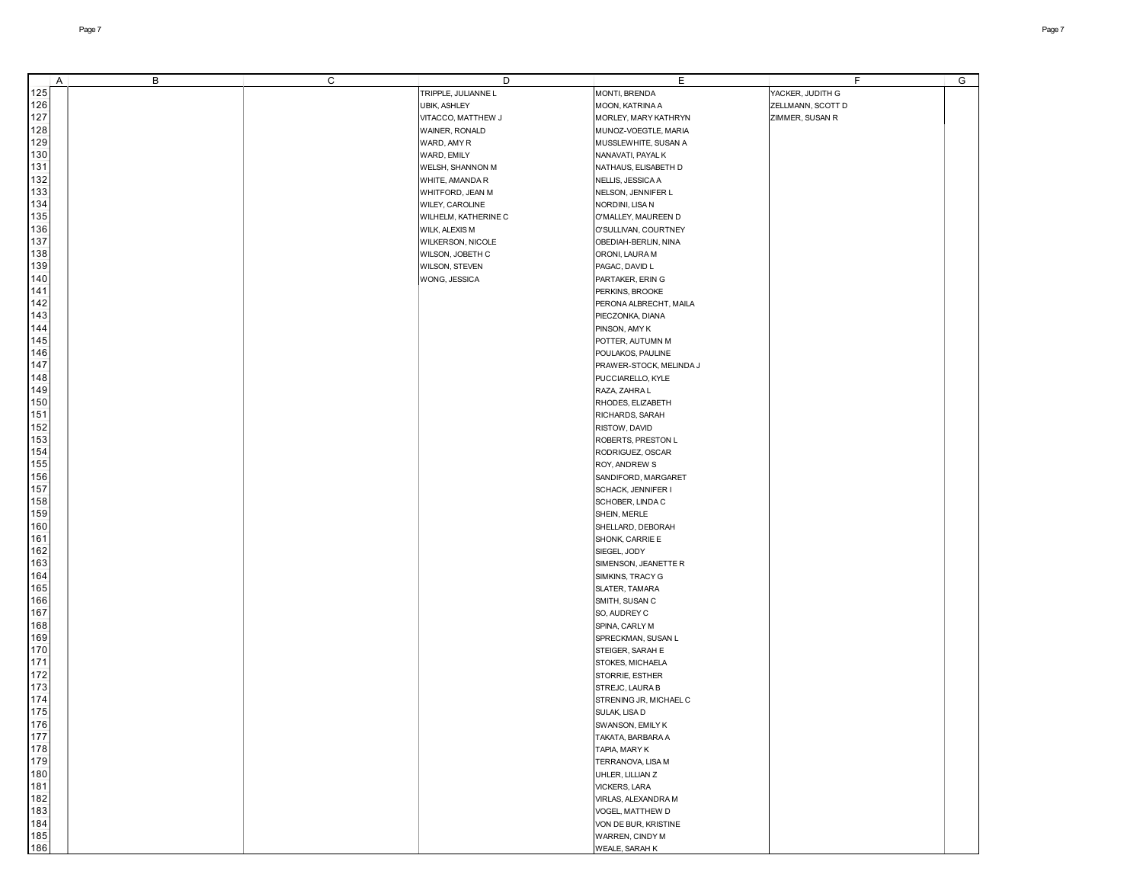|     | A | В | C | D                    | Е                       | F                 | G |
|-----|---|---|---|----------------------|-------------------------|-------------------|---|
| 125 |   |   |   | TRIPPLE, JULIANNE L  | MONTI, BRENDA           | YACKER, JUDITH G  |   |
| 126 |   |   |   | UBIK, ASHLEY         | MOON, KATRINA A         | ZELLMANN, SCOTT D |   |
| 127 |   |   |   |                      |                         |                   |   |
|     |   |   |   | VITACCO, MATTHEW J   | MORLEY, MARY KATHRYN    | ZIMMER, SUSAN R   |   |
| 128 |   |   |   | WAINER, RONALD       | MUNOZ-VOEGTLE, MARIA    |                   |   |
| 129 |   |   |   | WARD, AMY R          | MUSSLEWHITE, SUSAN A    |                   |   |
| 130 |   |   |   | WARD, EMILY          | NANAVATI, PAYAL K       |                   |   |
| 131 |   |   |   | WELSH, SHANNON M     | NATHAUS, ELISABETH D    |                   |   |
| 132 |   |   |   | WHITE, AMANDA R      |                         |                   |   |
|     |   |   |   |                      | NELLIS, JESSICA A       |                   |   |
| 133 |   |   |   | WHITFORD, JEAN M     | NELSON, JENNIFER L      |                   |   |
| 134 |   |   |   | WILEY, CAROLINE      | NORDINI, LISA N         |                   |   |
| 135 |   |   |   | WILHELM, KATHERINE C | O'MALLEY, MAUREEN D     |                   |   |
| 136 |   |   |   | WILK, ALEXIS M       | O'SULLIVAN, COURTNEY    |                   |   |
| 137 |   |   |   | WILKERSON, NICOLE    | OBEDIAH-BERLIN, NINA    |                   |   |
| 138 |   |   |   |                      |                         |                   |   |
|     |   |   |   | WILSON, JOBETH C     | ORONI, LAURA M          |                   |   |
| 139 |   |   |   | WILSON, STEVEN       | PAGAC, DAVID L          |                   |   |
| 140 |   |   |   | WONG, JESSICA        | PARTAKER, ERIN G        |                   |   |
| 141 |   |   |   |                      | PERKINS, BROOKE         |                   |   |
| 142 |   |   |   |                      | PERONA ALBRECHT, MAILA  |                   |   |
| 143 |   |   |   |                      | PIECZONKA, DIANA        |                   |   |
| 144 |   |   |   |                      |                         |                   |   |
|     |   |   |   |                      | PINSON, AMY K           |                   |   |
| 145 |   |   |   |                      | POTTER, AUTUMN M        |                   |   |
| 146 |   |   |   |                      | POULAKOS, PAULINE       |                   |   |
| 147 |   |   |   |                      | PRAWER-STOCK, MELINDA J |                   |   |
| 148 |   |   |   |                      | PUCCIARELLO, KYLE       |                   |   |
| 149 |   |   |   |                      | RAZA, ZAHRA L           |                   |   |
|     |   |   |   |                      |                         |                   |   |
| 150 |   |   |   |                      | RHODES, ELIZABETH       |                   |   |
| 151 |   |   |   |                      | RICHARDS, SARAH         |                   |   |
| 152 |   |   |   |                      | RISTOW, DAVID           |                   |   |
| 153 |   |   |   |                      | ROBERTS, PRESTON L      |                   |   |
| 154 |   |   |   |                      | RODRIGUEZ, OSCAR        |                   |   |
| 155 |   |   |   |                      | ROY, ANDREW S           |                   |   |
|     |   |   |   |                      |                         |                   |   |
| 156 |   |   |   |                      | SANDIFORD, MARGARET     |                   |   |
| 157 |   |   |   |                      | SCHACK, JENNIFER I      |                   |   |
| 158 |   |   |   |                      | SCHOBER, LINDA C        |                   |   |
| 159 |   |   |   |                      | SHEIN, MERLE            |                   |   |
| 160 |   |   |   |                      | SHELLARD, DEBORAH       |                   |   |
| 161 |   |   |   |                      | SHONK, CARRIE E         |                   |   |
| 162 |   |   |   |                      |                         |                   |   |
|     |   |   |   |                      | SIEGEL, JODY            |                   |   |
| 163 |   |   |   |                      | SIMENSON, JEANETTE R    |                   |   |
| 164 |   |   |   |                      | SIMKINS, TRACY G        |                   |   |
| 165 |   |   |   |                      | SLATER, TAMARA          |                   |   |
| 166 |   |   |   |                      | SMITH, SUSAN C          |                   |   |
| 167 |   |   |   |                      | SO, AUDREY C            |                   |   |
| 168 |   |   |   |                      | SPINA, CARLY M          |                   |   |
|     |   |   |   |                      |                         |                   |   |
| 169 |   |   |   |                      | SPRECKMAN, SUSAN L      |                   |   |
| 170 |   |   |   |                      | STEIGER, SARAH E        |                   |   |
| 171 |   |   |   |                      | STOKES, MICHAELA        |                   |   |
| 172 |   |   |   |                      | STORRIE, ESTHER         |                   |   |
| 173 |   |   |   |                      | STREJC, LAURA B         |                   |   |
| 174 |   |   |   |                      | STRENING JR, MICHAEL C  |                   |   |
|     |   |   |   |                      |                         |                   |   |
| 175 |   |   |   |                      | SULAK, LISA D           |                   |   |
| 176 |   |   |   |                      | SWANSON, EMILY K        |                   |   |
| 177 |   |   |   |                      | TAKATA, BARBARA A       |                   |   |
| 178 |   |   |   |                      | TAPIA, MARY K           |                   |   |
| 179 |   |   |   |                      | TERRANOVA, LISA M       |                   |   |
| 180 |   |   |   |                      | UHLER, LILLIAN Z        |                   |   |
| 181 |   |   |   |                      |                         |                   |   |
|     |   |   |   |                      | <b>VICKERS, LARA</b>    |                   |   |
| 182 |   |   |   |                      | VIRLAS, ALEXANDRA M     |                   |   |
| 183 |   |   |   |                      | VOGEL, MATTHEW D        |                   |   |
| 184 |   |   |   |                      | VON DE BUR, KRISTINE    |                   |   |
| 185 |   |   |   |                      | WARREN, CINDY M         |                   |   |
| 186 |   |   |   |                      | WEALE, SARAH K          |                   |   |
|     |   |   |   |                      |                         |                   |   |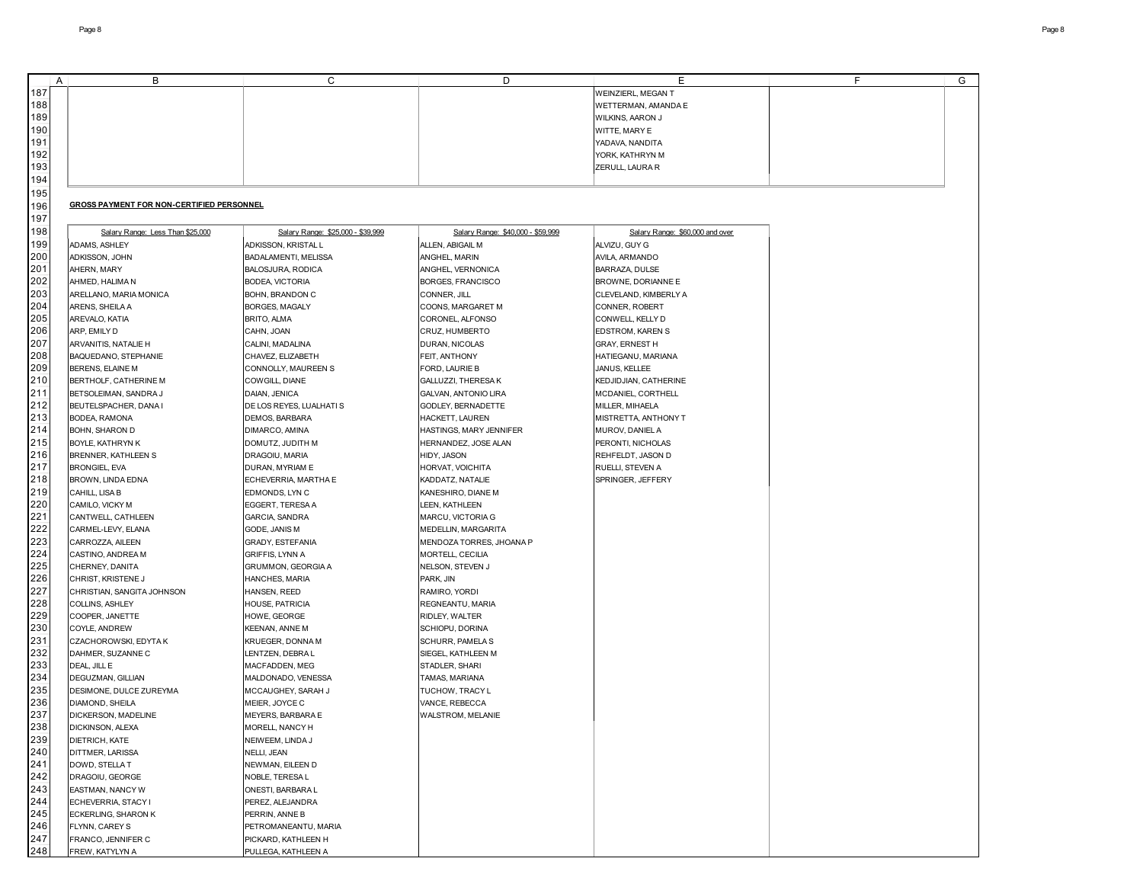|     | A | В                                                | С                                  | D                                 | E                               | F | G |
|-----|---|--------------------------------------------------|------------------------------------|-----------------------------------|---------------------------------|---|---|
| 187 |   |                                                  |                                    |                                   | <b>WEINZIERL, MEGAN T</b>       |   |   |
| 188 |   |                                                  |                                    |                                   | WETTERMAN, AMANDA E             |   |   |
| 189 |   |                                                  |                                    |                                   | WILKINS, AARON J                |   |   |
| 190 |   |                                                  |                                    |                                   | WITTE, MARY E                   |   |   |
| 191 |   |                                                  |                                    |                                   | YADAVA, NANDITA                 |   |   |
| 192 |   |                                                  |                                    |                                   | YORK, KATHRYN M                 |   |   |
| 193 |   |                                                  |                                    |                                   | ZERULL, LAURA R                 |   |   |
| 194 |   |                                                  |                                    |                                   |                                 |   |   |
|     |   |                                                  |                                    |                                   |                                 |   |   |
| 195 |   |                                                  |                                    |                                   |                                 |   |   |
| 196 |   | <b>GROSS PAYMENT FOR NON-CERTIFIED PERSONNEL</b> |                                    |                                   |                                 |   |   |
| 197 |   |                                                  |                                    |                                   |                                 |   |   |
| 198 |   | Salary Range: Less Than \$25,000                 | Salary Range: \$25,000 - \$39,999  | Salary Range: \$40,000 - \$59,999 | Salary Range: \$60,000 and over |   |   |
| 199 |   | ADAMS, ASHLEY                                    | ADKISSON, KRISTAL L                | ALLEN, ABIGAIL M                  | ALVIZU, GUY G                   |   |   |
| 200 |   | ADKISSON, JOHN                                   | BADALAMENTI, MELISSA               | ANGHEL, MARIN                     | AVILA, ARMANDO                  |   |   |
| 201 |   | AHERN, MARY                                      | BALOSJURA, RODICA                  | ANGHEL, VERNONICA                 | BARRAZA, DULSE                  |   |   |
| 202 |   | AHMED, HALIMA N                                  | <b>BODEA, VICTORIA</b>             | BORGES, FRANCISCO                 | BROWNE, DORIANNE E              |   |   |
| 203 |   | ARELLANO, MARIA MONICA                           | BOHN, BRANDON C                    | CONNER, JILL                      | CLEVELAND, KIMBERLY A           |   |   |
| 204 |   | ARENS, SHEILA A                                  | <b>BORGES, MAGALY</b>              | COONS, MARGARET M                 | CONNER, ROBERT                  |   |   |
| 205 |   | AREVALO, KATIA                                   | <b>BRITO, ALMA</b>                 | CORONEL, ALFONSO                  | CONWELL, KELLY D                |   |   |
| 206 |   | ARP, EMILY D                                     | CAHN, JOAN                         | CRUZ, HUMBERTO                    | EDSTROM, KAREN S                |   |   |
| 207 |   | ARVANITIS, NATALIE H                             | CALINI, MADALINA                   | DURAN, NICOLAS                    | <b>GRAY, ERNEST H</b>           |   |   |
| 208 |   | BAQUEDANO, STEPHANIE                             | CHAVEZ, ELIZABETH                  | FEIT, ANTHONY                     | HATIEGANU, MARIANA              |   |   |
| 209 |   | BERENS, ELAINE M                                 | CONNOLLY, MAUREEN S                | FORD, LAURIE B                    | JANUS, KELLEE                   |   |   |
| 210 |   | BERTHOLF, CATHERINE M                            | COWGILL, DIANE                     | GALLUZZI, THERESA K               | KEDJIDJIAN, CATHERINE           |   |   |
| 211 |   | BETSOLEIMAN, SANDRA J                            | DAIAN, JENICA                      | GALVAN, ANTONIO LIRA              | MCDANIEL, CORTHELL              |   |   |
| 212 |   | BEUTELSPACHER, DANA I                            | DE LOS REYES, LUALHATI S           | GODLEY, BERNADETTE                | MILLER, MIHAELA                 |   |   |
| 213 |   | BODEA, RAMONA                                    | DEMOS, BARBARA                     | HACKETT, LAUREN                   | MISTRETTA, ANTHONY T            |   |   |
| 214 |   | BOHN, SHARON D                                   | DIMARCO, AMINA                     | HASTINGS, MARY JENNIFER           | MUROV, DANIEL A                 |   |   |
| 215 |   | BOYLE, KATHRYN K                                 | DOMUTZ, JUDITH M                   | HERNANDEZ, JOSE ALAN              | PERONTI, NICHOLAS               |   |   |
| 216 |   | BRENNER, KATHLEEN S                              | DRAGOIU, MARIA                     | HIDY, JASON                       | REHFELDT, JASON D               |   |   |
| 217 |   | <b>BRONGIEL, EVA</b>                             | DURAN, MYRIAM E                    | HORVAT, VOICHITA                  | RUELLI, STEVEN A                |   |   |
| 218 |   | BROWN, LINDA EDNA                                | ECHEVERRIA, MARTHA E               | KADDATZ, NATALIE                  | SPRINGER, JEFFERY               |   |   |
| 219 |   | CAHILL, LISA B                                   | EDMONDS, LYN C                     | KANESHIRO, DIANE M                |                                 |   |   |
| 220 |   | CAMILO, VICKY M                                  |                                    |                                   |                                 |   |   |
| 221 |   | CANTWELL, CATHLEEN                               | EGGERT, TERESA A<br>GARCIA, SANDRA | LEEN, KATHLEEN                    |                                 |   |   |
| 222 |   |                                                  |                                    | MARCU, VICTORIA G                 |                                 |   |   |
| 223 |   | CARMEL-LEVY, ELANA                               | GODE, JANIS M                      | MEDELLIN, MARGARITA               |                                 |   |   |
| 224 |   | CARROZZA, AILEEN                                 | GRADY, ESTEFANIA                   | MENDOZA TORRES, JHOANA P          |                                 |   |   |
| 225 |   | CASTINO, ANDREA M                                | <b>GRIFFIS, LYNN A</b>             | MORTELL, CECILIA                  |                                 |   |   |
| 226 |   | CHERNEY, DANITA                                  | GRUMMON, GEORGIA A                 | NELSON, STEVEN J                  |                                 |   |   |
| 227 |   | CHRIST, KRISTENE J                               | HANCHES, MARIA                     | PARK, JIN                         |                                 |   |   |
|     |   | CHRISTIAN, SANGITA JOHNSON                       | HANSEN, REED                       | RAMIRO, YORDI                     |                                 |   |   |
| 228 |   | COLLINS, ASHLEY                                  | HOUSE, PATRICIA                    | REGNEANTU, MARIA                  |                                 |   |   |
| 229 |   | COOPER, JANETTE                                  | HOWE, GEORGE                       | RIDLEY, WALTER                    |                                 |   |   |
| 230 |   | COYLE, ANDREW                                    | KEENAN, ANNE M                     | SCHIOPU, DORINA                   |                                 |   |   |
| 231 |   | CZACHOROWSKI, EDYTA K                            | KRUEGER, DONNA M                   | <b>SCHURR, PAMELA S</b>           |                                 |   |   |
| 232 |   | DAHMER, SUZANNE C                                | LENTZEN, DEBRA L                   | SIEGEL, KATHLEEN M                |                                 |   |   |
| 233 |   | DEAL, JILL E                                     | MACFADDEN, MEG                     | STADLER, SHARI                    |                                 |   |   |
| 234 |   | DEGUZMAN, GILLIAN                                | MALDONADO, VENESSA                 | TAMAS, MARIANA                    |                                 |   |   |
| 235 |   | DESIMONE, DULCE ZUREYMA                          | MCCAUGHEY, SARAH J                 | TUCHOW, TRACY L                   |                                 |   |   |
| 236 |   | DIAMOND, SHEILA                                  | MEIER, JOYCE C                     | VANCE, REBECCA                    |                                 |   |   |
| 237 |   | DICKERSON, MADELINE                              | <b>MEYERS, BARBARA E</b>           | WALSTROM, MELANIE                 |                                 |   |   |
| 238 |   | DICKINSON, ALEXA                                 | MORELL, NANCY H                    |                                   |                                 |   |   |
| 239 |   | DIETRICH, KATE                                   | NEIWEEM, LINDA J                   |                                   |                                 |   |   |
| 240 |   | DITTMER, LARISSA                                 | NELLI, JEAN                        |                                   |                                 |   |   |
| 241 |   | DOWD, STELLA T                                   | NEWMAN, EILEEN D                   |                                   |                                 |   |   |
| 242 |   | DRAGOIU, GEORGE                                  | NOBLE, TERESA L                    |                                   |                                 |   |   |
| 243 |   | EASTMAN, NANCY W                                 | ONESTI, BARBARA L                  |                                   |                                 |   |   |
| 244 |   | ECHEVERRIA, STACY I                              | PEREZ, ALEJANDRA                   |                                   |                                 |   |   |
| 245 |   | ECKERLING, SHARON K                              | PERRIN, ANNE B                     |                                   |                                 |   |   |
| 246 |   | FLYNN, CAREY S                                   | PETROMANEANTU, MARIA               |                                   |                                 |   |   |
| 247 |   | FRANCO, JENNIFER C                               | PICKARD, KATHLEEN H                |                                   |                                 |   |   |
| 248 |   | FREW, KATYLYN A                                  | PULLEGA, KATHLEEN A                |                                   |                                 |   |   |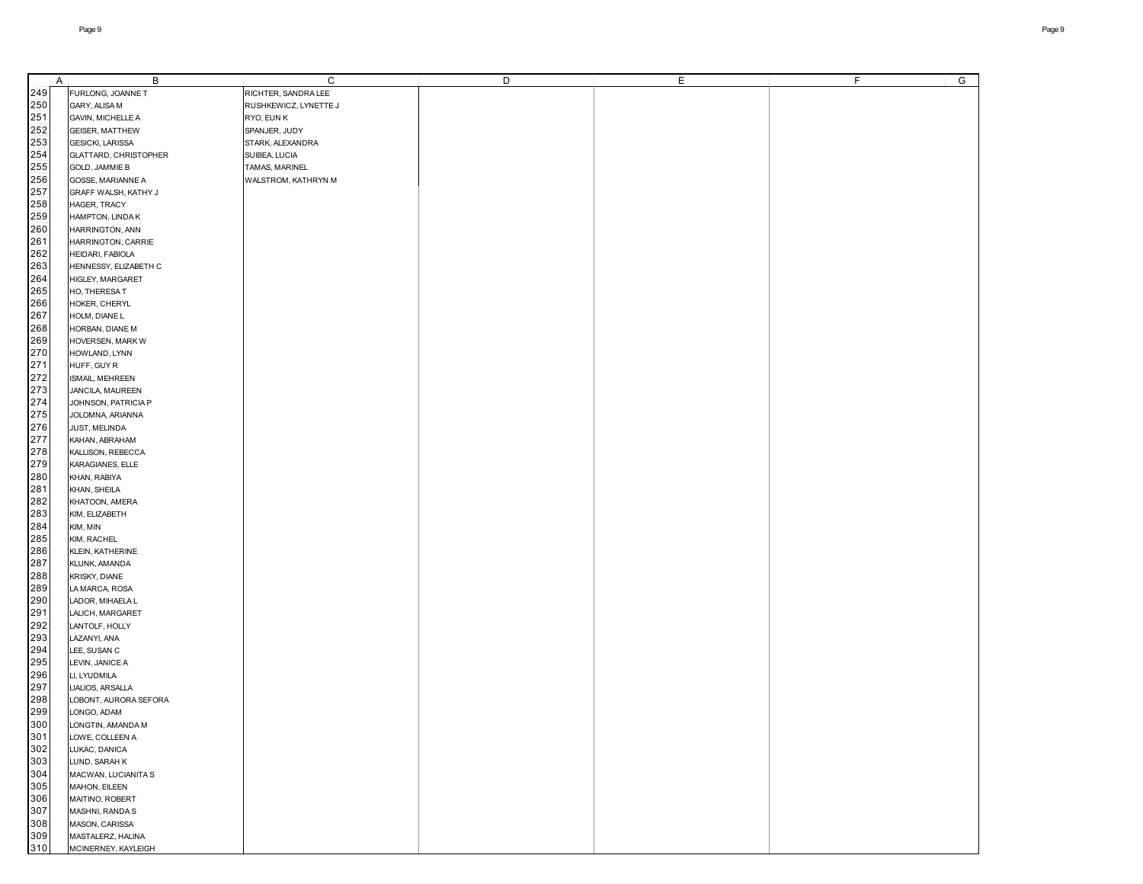| A   | В                       | C                     | D | E | F.<br>G |
|-----|-------------------------|-----------------------|---|---|---------|
| 249 | FURLONG, JOANNE T       | RICHTER, SANDRA LEE   |   |   |         |
| 250 | GARY, ALISA M           | RUSHKEWICZ, LYNETTE J |   |   |         |
| 251 | GAVIN, MICHELLE A       | RYO, EUN K            |   |   |         |
| 252 |                         |                       |   |   |         |
|     | GEISER, MATTHEW         | SPANJER, JUDY         |   |   |         |
| 253 | GESICKI, LARISSA        | STARK, ALEXANDRA      |   |   |         |
| 254 | GLATTARD, CHRISTOPHER   | SUIBEA, LUCIA         |   |   |         |
| 255 | <b>GOLD, JAMMIE B</b>   | TAMAS, MARINEL        |   |   |         |
| 256 | GOSSE, MARIANNE A       | WALSTROM, KATHRYN M   |   |   |         |
| 257 | GRAFF WALSH, KATHY J    |                       |   |   |         |
| 258 | HAGER, TRACY            |                       |   |   |         |
| 259 | HAMPTON, LINDA K        |                       |   |   |         |
| 260 | HARRINGTON, ANN         |                       |   |   |         |
| 261 | HARRINGTON, CARRIE      |                       |   |   |         |
| 262 |                         |                       |   |   |         |
|     | HEIDARI, FABIOLA        |                       |   |   |         |
| 263 | HENNESSY, ELIZABETH C   |                       |   |   |         |
| 264 | HIGLEY, MARGARET        |                       |   |   |         |
| 265 | HO, THERESAT            |                       |   |   |         |
| 266 | HOKER, CHERYL           |                       |   |   |         |
| 267 | HOLM, DIANE L           |                       |   |   |         |
| 268 | HORBAN, DIANE M         |                       |   |   |         |
| 269 | <b>HOVERSEN, MARK W</b> |                       |   |   |         |
| 270 | HOWLAND, LYNN           |                       |   |   |         |
| 271 | HUFF, GUY R             |                       |   |   |         |
| 272 |                         |                       |   |   |         |
|     | ISMAIL, MEHREEN         |                       |   |   |         |
| 273 | JANCILA, MAUREEN        |                       |   |   |         |
| 274 | JOHNSON, PATRICIA P     |                       |   |   |         |
| 275 | JOLOMNA, ARIANNA        |                       |   |   |         |
| 276 | JUST, MELINDA           |                       |   |   |         |
| 277 | KAHAN, ABRAHAM          |                       |   |   |         |
| 278 | KALLISON, REBECCA       |                       |   |   |         |
| 279 | KARAGIANES, ELLE        |                       |   |   |         |
| 280 | KHAN, RABIYA            |                       |   |   |         |
| 281 | KHAN, SHEILA            |                       |   |   |         |
|     |                         |                       |   |   |         |
| 282 | KHATOON, AMERA          |                       |   |   |         |
| 283 | KIM, ELIZABETH          |                       |   |   |         |
| 284 | KIM, MIN                |                       |   |   |         |
| 285 | KIM, RACHEL             |                       |   |   |         |
| 286 | KLEIN, KATHERINE        |                       |   |   |         |
| 287 | KLUNK, AMANDA           |                       |   |   |         |
| 288 | KRISKY, DIANE           |                       |   |   |         |
| 289 | LA MARCA, ROSA          |                       |   |   |         |
| 290 | LADOR, MIHAELA L        |                       |   |   |         |
| 291 | LALICH, MARGARET        |                       |   |   |         |
| 292 | LANTOLF, HOLLY          |                       |   |   |         |
| 293 |                         |                       |   |   |         |
|     | LAZANYI, ANA            |                       |   |   |         |
| 294 | LEE, SUSAN C            |                       |   |   |         |
| 295 | LEVIN, JANICE A         |                       |   |   |         |
| 296 | LI, LYUDMILA            |                       |   |   |         |
| 297 | LIALIOS, ARSALLA        |                       |   |   |         |
| 298 | LOBONT, AURORA SEFORA   |                       |   |   |         |
| 299 | LONGO, ADAM             |                       |   |   |         |
| 300 | LONGTIN, AMANDA M       |                       |   |   |         |
| 301 | LOWE, COLLEEN A         |                       |   |   |         |
| 302 | LUKAC, DANICA           |                       |   |   |         |
| 303 | LUND, SARAH K           |                       |   |   |         |
| 304 | MACWAN, LUCIANITA S     |                       |   |   |         |
|     |                         |                       |   |   |         |
| 305 | MAHON, EILEEN           |                       |   |   |         |
| 306 | MAITINO, ROBERT         |                       |   |   |         |
| 307 | MASHNI, RANDA S         |                       |   |   |         |
| 308 | MASON, CARISSA          |                       |   |   |         |
| 309 | MASTALERZ, HALINA       |                       |   |   |         |
| 310 | MCINERNEY, KAYLEIGH     |                       |   |   |         |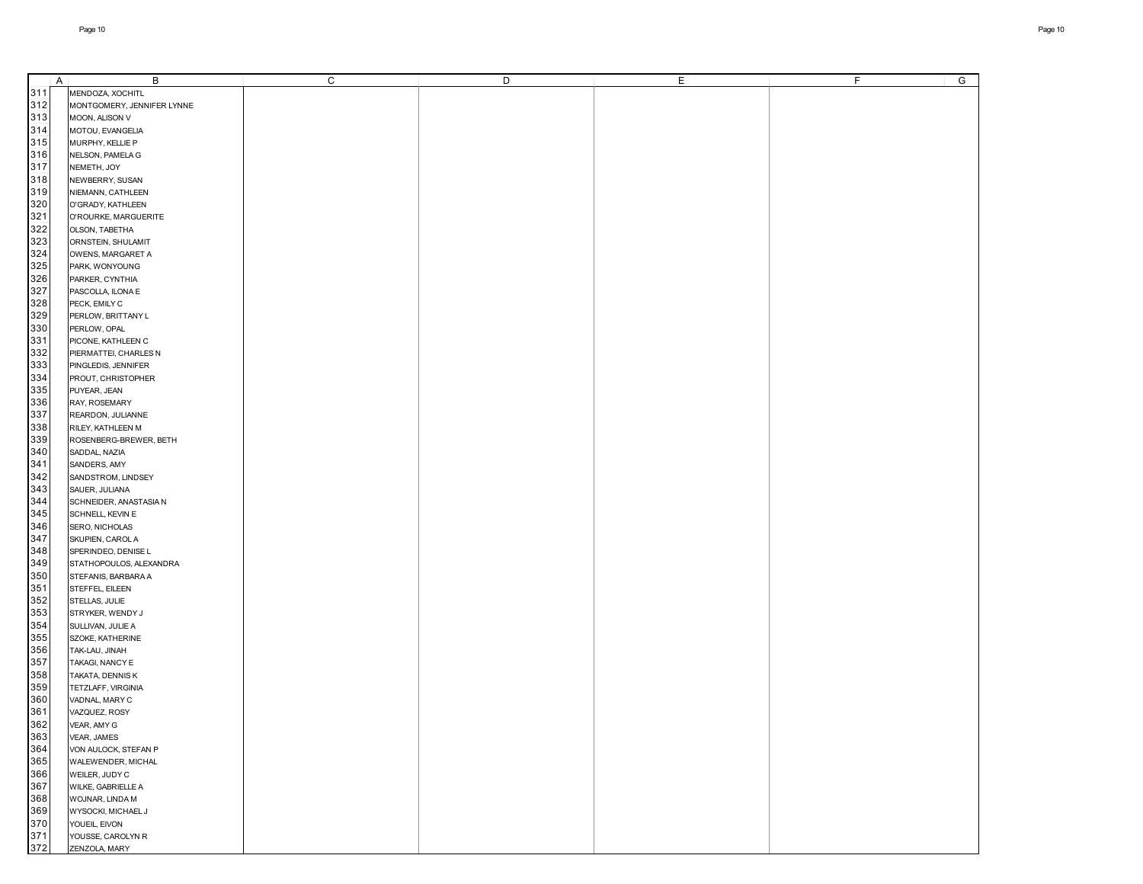|     | A | B                          | C | D | Е | F<br>G |
|-----|---|----------------------------|---|---|---|--------|
| 311 |   | MENDOZA, XOCHITL           |   |   |   |        |
| 312 |   | MONTGOMERY, JENNIFER LYNNE |   |   |   |        |
| 313 |   | MOON, ALISON V             |   |   |   |        |
| 314 |   | MOTOU, EVANGELIA           |   |   |   |        |
| 315 |   |                            |   |   |   |        |
|     |   | MURPHY, KELLIE P           |   |   |   |        |
| 316 |   | NELSON, PAMELA G           |   |   |   |        |
| 317 |   | NEMETH, JOY                |   |   |   |        |
| 318 |   | NEWBERRY, SUSAN            |   |   |   |        |
| 319 |   | NIEMANN, CATHLEEN          |   |   |   |        |
| 320 |   | O'GRADY, KATHLEEN          |   |   |   |        |
| 321 |   | O'ROURKE, MARGUERITE       |   |   |   |        |
| 322 |   | OLSON, TABETHA             |   |   |   |        |
| 323 |   | ORNSTEIN, SHULAMIT         |   |   |   |        |
| 324 |   | OWENS, MARGARET A          |   |   |   |        |
| 325 |   | PARK, WONYOUNG             |   |   |   |        |
| 326 |   | PARKER, CYNTHIA            |   |   |   |        |
| 327 |   | PASCOLLA, ILONA E          |   |   |   |        |
| 328 |   | PECK, EMILY C              |   |   |   |        |
| 329 |   | PERLOW, BRITTANY L         |   |   |   |        |
| 330 |   | PERLOW, OPAL               |   |   |   |        |
| 331 |   | PICONE, KATHLEEN C         |   |   |   |        |
| 332 |   |                            |   |   |   |        |
| 333 |   | PIERMATTEI, CHARLES N      |   |   |   |        |
|     |   | PINGLEDIS, JENNIFER        |   |   |   |        |
| 334 |   | PROUT, CHRISTOPHER         |   |   |   |        |
| 335 |   | PUYEAR, JEAN               |   |   |   |        |
| 336 |   | RAY, ROSEMARY              |   |   |   |        |
| 337 |   | REARDON, JULIANNE          |   |   |   |        |
| 338 |   | RILEY, KATHLEEN M          |   |   |   |        |
| 339 |   | ROSENBERG-BREWER, BETH     |   |   |   |        |
| 340 |   | SADDAL, NAZIA              |   |   |   |        |
| 341 |   | SANDERS, AMY               |   |   |   |        |
| 342 |   | SANDSTROM, LINDSEY         |   |   |   |        |
| 343 |   | SAUER, JULIANA             |   |   |   |        |
| 344 |   | SCHNEIDER, ANASTASIA N     |   |   |   |        |
| 345 |   | SCHNELL, KEVIN E           |   |   |   |        |
| 346 |   | SERO, NICHOLAS             |   |   |   |        |
| 347 |   | SKUPIEN, CAROL A           |   |   |   |        |
| 348 |   | SPERINDEO, DENISE L        |   |   |   |        |
| 349 |   | STATHOPOULOS, ALEXANDRA    |   |   |   |        |
| 350 |   | STEFANIS, BARBARA A        |   |   |   |        |
| 351 |   | STEFFEL, EILEEN            |   |   |   |        |
| 352 |   | STELLAS, JULIE             |   |   |   |        |
| 353 |   | STRYKER, WENDY J           |   |   |   |        |
| 354 |   | SULLIVAN, JULIE A          |   |   |   |        |
| 355 |   | SZOKE, KATHERINE           |   |   |   |        |
| 356 |   | TAK-LAU, JINAH             |   |   |   |        |
| 357 |   | TAKAGI, NANCY E            |   |   |   |        |
| 358 |   | TAKATA, DENNIS K           |   |   |   |        |
| 359 |   | TETZLAFF, VIRGINIA         |   |   |   |        |
|     |   |                            |   |   |   |        |
| 360 |   | VADNAL, MARY C             |   |   |   |        |
| 361 |   | VAZQUEZ, ROSY              |   |   |   |        |
| 362 |   | VEAR, AMY G                |   |   |   |        |
| 363 |   | VEAR, JAMES                |   |   |   |        |
| 364 |   | VON AULOCK, STEFAN P       |   |   |   |        |
| 365 |   | WALEWENDER, MICHAL         |   |   |   |        |
| 366 |   | WEILER, JUDY C             |   |   |   |        |
| 367 |   | WILKE, GABRIELLE A         |   |   |   |        |
| 368 |   | WOJNAR, LINDA M            |   |   |   |        |
| 369 |   | WYSOCKI, MICHAEL J         |   |   |   |        |
| 370 |   | YOUEIL, EIVON              |   |   |   |        |
| 371 |   | YOUSSE, CAROLYN R          |   |   |   |        |
| 372 |   | ZENZOLA, MARY              |   |   |   |        |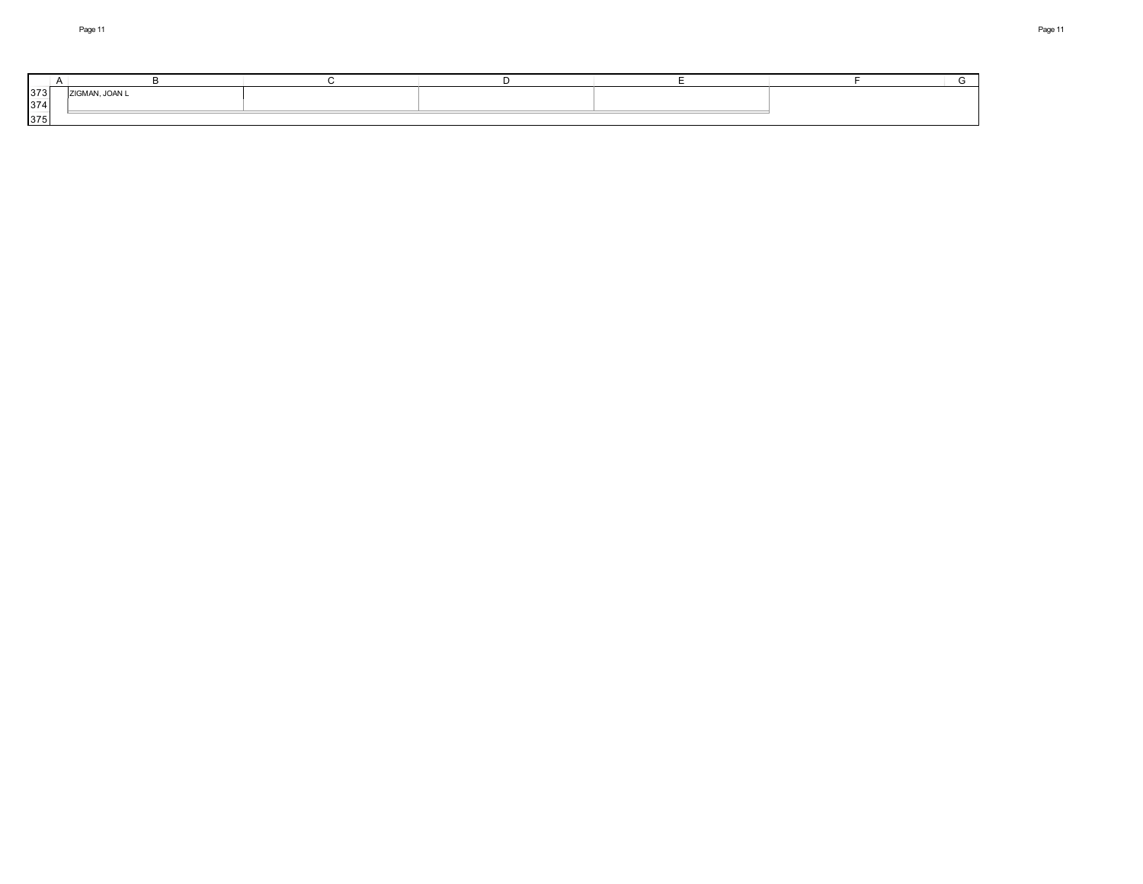| 373 | <b>AAI</b><br><b>TION 4 ANI</b> |  |  |  |
|-----|---------------------------------|--|--|--|
| 374 |                                 |  |  |  |
| 375 |                                 |  |  |  |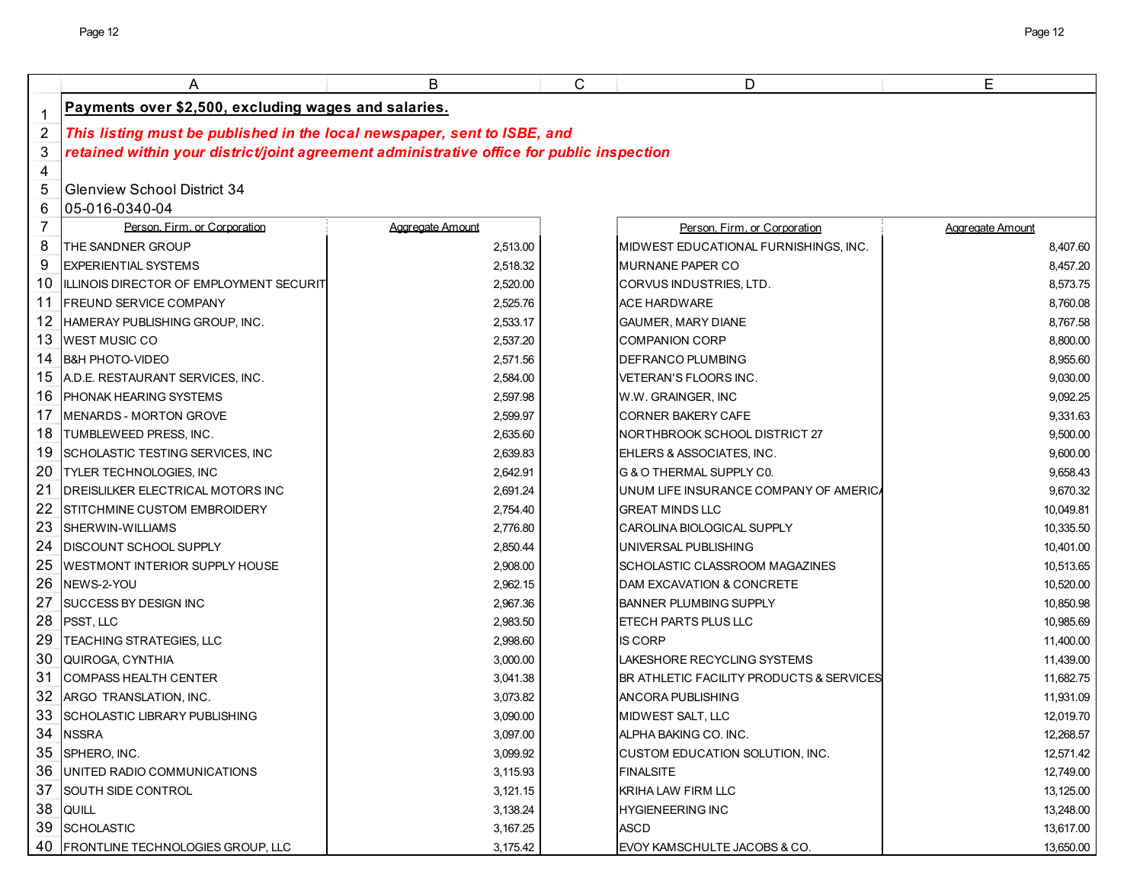|                | Α                                                                                         | В                | C | D                                        | E                |
|----------------|-------------------------------------------------------------------------------------------|------------------|---|------------------------------------------|------------------|
| $\mathbf 1$    | Payments over \$2,500, excluding wages and salaries.                                      |                  |   |                                          |                  |
| $\overline{2}$ | This listing must be published in the local newspaper, sent to ISBE, and                  |                  |   |                                          |                  |
| 3              | retained within your district/joint agreement administrative office for public inspection |                  |   |                                          |                  |
| 4              |                                                                                           |                  |   |                                          |                  |
| 5              | <b>Glenview School District 34</b>                                                        |                  |   |                                          |                  |
| 6              | 05-016-0340-04                                                                            |                  |   |                                          |                  |
| $\overline{7}$ | Person, Firm, or Corporation                                                              | Aggregate Amount |   | Person. Firm. or Corporation             | Aggregate Amount |
| 8              | THE SANDNER GROUP                                                                         | 2,513.00         |   | MIDWEST EDUCATIONAL FURNISHINGS, INC.    | 8,407.60         |
| 9              | <b>EXPERIENTIAL SYSTEMS</b>                                                               | 2,518.32         |   | MURNANE PAPER CO                         | 8,457.20         |
| 10             | ILLINOIS DIRECTOR OF EMPLOYMENT SECURIT                                                   | 2,520.00         |   | CORVUS INDUSTRIES, LTD.                  | 8,573.75         |
| 11             | <b>FREUND SERVICE COMPANY</b>                                                             | 2,525.76         |   | ACE HARDWARE                             | 8,760.08         |
| 12             | HAMERAY PUBLISHING GROUP, INC.                                                            | 2,533.17         |   | <b>GAUMER, MARY DIANE</b>                | 8,767.58         |
| 13             | <b>WEST MUSIC CO</b>                                                                      | 2,537.20         |   | <b>COMPANION CORP</b>                    | 8,800.00         |
| 14             | <b>B&amp;H PHOTO-VIDEO</b>                                                                | 2,571.56         |   | DEFRANCO PLUMBING                        | 8,955.60         |
| 15             | A.D.E. RESTAURANT SERVICES, INC.                                                          | 2,584.00         |   | <b>VETERAN'S FLOORS INC.</b>             | 9,030.00         |
| 16             | <b>PHONAK HEARING SYSTEMS</b>                                                             | 2,597.98         |   | W.W. GRAINGER, INC                       | 9,092.25         |
| 17             | <b>IMENARDS - MORTON GROVE</b>                                                            | 2,599.97         |   | <b>CORNER BAKERY CAFE</b>                | 9,331.63         |
| 18             | <b>ITUMBLEWEED PRESS. INC.</b>                                                            | 2,635.60         |   | NORTHBROOK SCHOOL DISTRICT 27            | 9,500.00         |
| 19             | SCHOLASTIC TESTING SERVICES, INC                                                          | 2,639.83         |   | EHLERS & ASSOCIATES, INC.                | 9,600.00         |
| 20             | <b>TYLER TECHNOLOGIES. INC</b>                                                            | 2,642.91         |   | G & O THERMAL SUPPLY CO.                 | 9,658.43         |
| 21             | <b>IDREISLILKER ELECTRICAL MOTORS INC</b>                                                 | 2,691.24         |   | UNUM LIFE INSURANCE COMPANY OF AMERICA   | 9,670.32         |
| 22             | STITCHMINE CUSTOM EMBROIDERY                                                              | 2,754.40         |   | <b>GREAT MINDS LLC</b>                   | 10,049.81        |
| 23             | <b>ISHERWIN-WILLIAMS</b>                                                                  | 2,776.80         |   | CAROLINA BIOLOGICAL SUPPLY               | 10,335.50        |
| 24             | <b>DISCOUNT SCHOOL SUPPLY</b>                                                             | 2,850.44         |   | UNIVERSAL PUBLISHING                     | 10,401.00        |
| 25             | <b>WESTMONT INTERIOR SUPPLY HOUSE</b>                                                     | 2,908.00         |   | SCHOLASTIC CLASSROOM MAGAZINES           | 10,513.65        |
| 26             | NEWS-2-YOU                                                                                | 2,962.15         |   | DAM EXCAVATION & CONCRETE                | 10,520.00        |
| 27             | <b>ISUCCESS BY DESIGN INC</b>                                                             | 2,967.36         |   | <b>BANNER PLUMBING SUPPLY</b>            | 10,850.98        |
| 28             | <b>PSST, LLC</b>                                                                          | 2,983.50         |   | ETECH PARTS PLUS LLC                     | 10,985.69        |
| 29             | TEACHING STRATEGIES, LLC                                                                  | 2,998.60         |   | <b>IS CORP</b>                           | 11.400.00        |
| 30             | QUIROGA, CYNTHIA                                                                          | 3,000.00         |   | LAKESHORE RECYCLING SYSTEMS              | 11,439.00        |
| 31             | <b>COMPASS HEALTH CENTER</b>                                                              | 3,041.38         |   | BR ATHLETIC FACILITY PRODUCTS & SERVICES | 11,682.75        |
| 32             | ARGO TRANSLATION, INC.                                                                    | 3,073.82         |   | ANCORA PUBLISHING                        | 11,931.09        |
|                | 33 SCHOLASTIC LIBRARY PUBLISHING                                                          | 3,090.00         |   | MIDWEST SALT, LLC                        | 12,019.70        |
|                | 34 NSSRA                                                                                  | 3,097.00         |   | ALPHA BAKING CO. INC.                    | 12,268.57        |
|                | 35 SPHERO, INC.                                                                           | 3,099.92         |   | CUSTOM EDUCATION SOLUTION, INC.          | 12,571.42        |
| 36             | <b>JUNITED RADIO COMMUNICATIONS</b>                                                       | 3,115.93         |   | <b>FINALSITE</b>                         | 12,749.00        |
| 37             | <b>SOUTH SIDE CONTROL</b>                                                                 | 3,121.15         |   | KRIHA LAW FIRM LLC                       | 13,125.00        |
| 38             | <b>QUILL</b>                                                                              | 3,138.24         |   | <b>HYGIENEERING INC</b>                  | 13,248.00        |
|                | 39 SCHOLASTIC                                                                             | 3,167.25         |   | ASCD                                     | 13,617.00        |
|                | 40 FRONTLINE TECHNOLOGIES GROUP, LLC                                                      | 3,175.42         |   | EVOY KAMSCHULTE JACOBS & CO.             | 13,650.00        |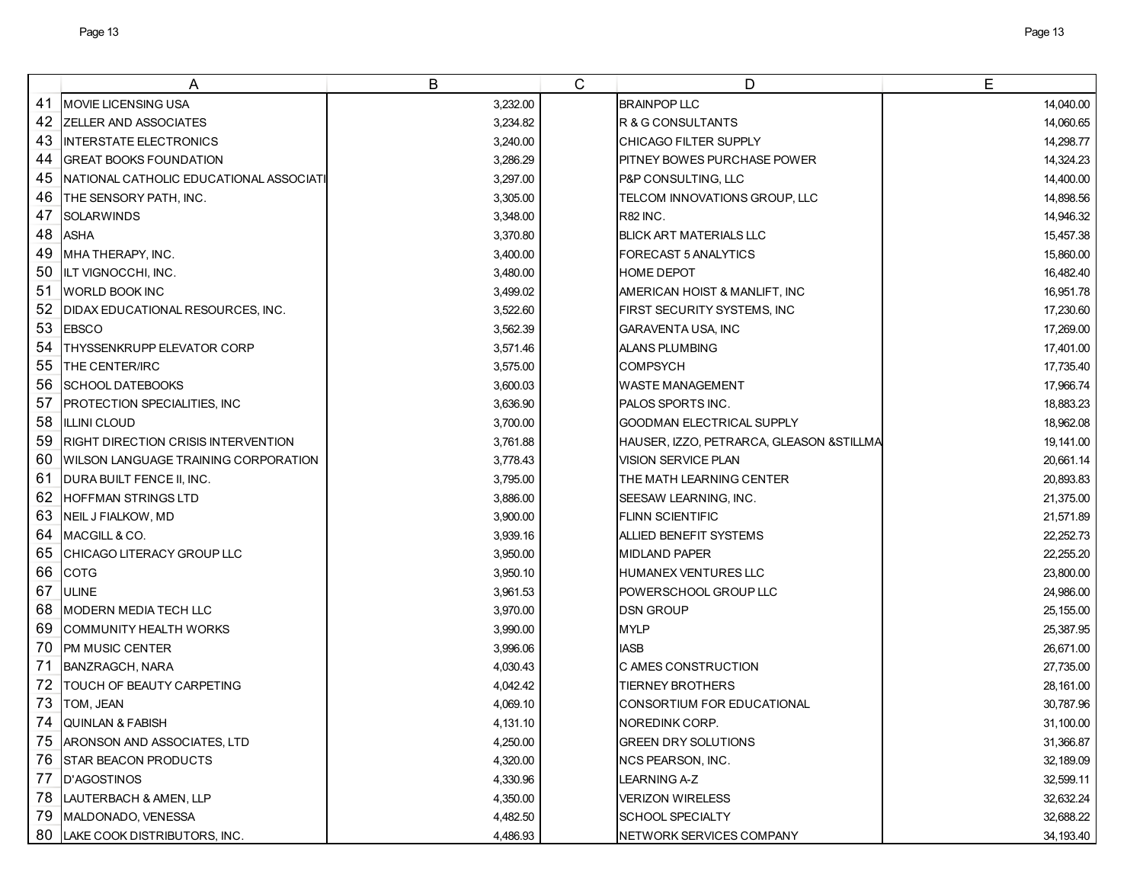|    | A                                           | B        | $\mathsf{C}$ | D                                        | E         |
|----|---------------------------------------------|----------|--------------|------------------------------------------|-----------|
| 41 | MOVIE LICENSING USA                         | 3,232.00 |              | <b>BRAINPOP LLC</b>                      | 14,040.00 |
| 42 | ZELLER AND ASSOCIATES                       | 3,234.82 |              | R & G CONSULTANTS                        | 14,060.65 |
| 43 | <b>INTERSTATE ELECTRONICS</b>               | 3,240.00 |              | CHICAGO FILTER SUPPLY                    | 14,298.77 |
| 44 | <b>GREAT BOOKS FOUNDATION</b>               | 3,286.29 |              | <b>PITNEY BOWES PURCHASE POWER</b>       | 14,324.23 |
| 45 | NATIONAL CATHOLIC EDUCATIONAL ASSOCIATI     | 3,297.00 |              | P&P CONSULTING, LLC                      | 14,400.00 |
| 46 | THE SENSORY PATH, INC.                      | 3,305.00 |              | TELCOM INNOVATIONS GROUP, LLC            | 14,898.56 |
| 47 | <b>SOLARWINDS</b>                           | 3,348.00 |              | <b>R82 INC.</b>                          | 14,946.32 |
| 48 | <b>ASHA</b>                                 | 3,370.80 |              | <b>BLICK ART MATERIALS LLC</b>           | 15,457.38 |
| 49 | MHA THERAPY, INC.                           | 3,400.00 |              | FORECAST 5 ANALYTICS                     | 15,860.00 |
| 50 | ILT VIGNOCCHI, INC.                         | 3,480.00 |              | <b>HOME DEPOT</b>                        | 16,482.40 |
| 51 | <b>WORLD BOOK INC</b>                       | 3,499.02 |              | AMERICAN HOIST & MANLIFT, INC            | 16,951.78 |
| 52 | DIDAX EDUCATIONAL RESOURCES, INC.           | 3,522.60 |              | <b>FIRST SECURITY SYSTEMS, INC</b>       | 17,230.60 |
| 53 | <b>EBSCO</b>                                | 3,562.39 |              | <b>GARAVENTA USA, INC</b>                | 17,269.00 |
| 54 | THYSSENKRUPP ELEVATOR CORP                  | 3,571.46 |              | <b>ALANS PLUMBING</b>                    | 17,401.00 |
| 55 | <b>THE CENTER/IRC</b>                       | 3,575.00 |              | <b>COMPSYCH</b>                          | 17,735.40 |
| 56 | <b>SCHOOL DATEBOOKS</b>                     | 3,600.03 |              | <b>WASTE MANAGEMENT</b>                  | 17,966.74 |
| 57 | PROTECTION SPECIALITIES, INC                | 3,636.90 |              | PALOS SPORTS INC.                        | 18,883.23 |
| 58 | <b>ILLINI CLOUD</b>                         | 3,700.00 |              | <b>GOODMAN ELECTRICAL SUPPLY</b>         | 18,962.08 |
| 59 | <b>RIGHT DIRECTION CRISIS INTERVENTION</b>  | 3,761.88 |              | HAUSER, IZZO, PETRARCA, GLEASON &STILLMA | 19,141.00 |
| 60 | <b>WILSON LANGUAGE TRAINING CORPORATION</b> | 3,778.43 |              | <b>VISION SERVICE PLAN</b>               | 20,661.14 |
| 61 | DURA BUILT FENCE II, INC.                   | 3,795.00 |              | THE MATH LEARNING CENTER                 | 20,893.83 |
| 62 | <b>HOFFMAN STRINGS LTD</b>                  | 3,886.00 |              | SEESAW LEARNING, INC.                    | 21,375.00 |
| 63 | NEIL J FIALKOW, MD                          | 3,900.00 |              | <b>FLINN SCIENTIFIC</b>                  | 21,571.89 |
| 64 | MACGILL & CO.                               | 3,939.16 |              | ALLIED BENEFIT SYSTEMS                   | 22,252.73 |
| 65 | CHICAGO LITERACY GROUP LLC                  | 3,950.00 |              | <b>MIDLAND PAPER</b>                     | 22,255.20 |
| 66 | <b>COTG</b>                                 | 3,950.10 |              | <b>HUMANEX VENTURES LLC</b>              | 23,800.00 |
| 67 | <b>ULINE</b>                                | 3,961.53 |              | POWERSCHOOL GROUP LLC                    | 24,986.00 |
| 68 | <b>MODERN MEDIA TECH LLC</b>                | 3,970.00 |              | <b>DSN GROUP</b>                         | 25,155.00 |
| 69 | COMMUNITY HEALTH WORKS                      | 3,990.00 |              | <b>MYLP</b>                              | 25,387.95 |
| 70 | PM MUSIC CENTER                             | 3,996.06 |              | <b>IASB</b>                              | 26,671.00 |
| 71 | <b>BANZRAGCH, NARA</b>                      | 4,030.43 |              | C AMES CONSTRUCTION                      | 27,735.00 |
| 72 | TOUCH OF BEAUTY CARPETING                   | 4,042.42 |              | TIERNEY BROTHERS                         | 28,161.00 |
| 73 | TOM, JEAN                                   | 4,069.10 |              | CONSORTIUM FOR EDUCATIONAL               | 30,787.96 |
| 74 | <b>QUINLAN &amp; FABISH</b>                 | 4,131.10 |              | NOREDINK CORP.                           | 31,100.00 |
| 75 | ARONSON AND ASSOCIATES, LTD                 | 4,250.00 |              | <b>GREEN DRY SOLUTIONS</b>               | 31,366.87 |
| 76 | <b>STAR BEACON PRODUCTS</b>                 | 4,320.00 |              | NCS PEARSON, INC.                        | 32,189.09 |
| 77 | <b>D'AGOSTINOS</b>                          | 4,330.96 |              | LEARNING A-Z                             | 32,599.11 |
| 78 | LAUTERBACH & AMEN, LLP                      | 4,350.00 |              | <b>VERIZON WIRELESS</b>                  | 32,632.24 |
| 79 | MALDONADO, VENESSA                          | 4,482.50 |              | <b>SCHOOL SPECIALTY</b>                  | 32,688.22 |
|    | 80 LAKE COOK DISTRIBUTORS, INC.             | 4,486.93 |              | NETWORK SERVICES COMPANY                 | 34,193.40 |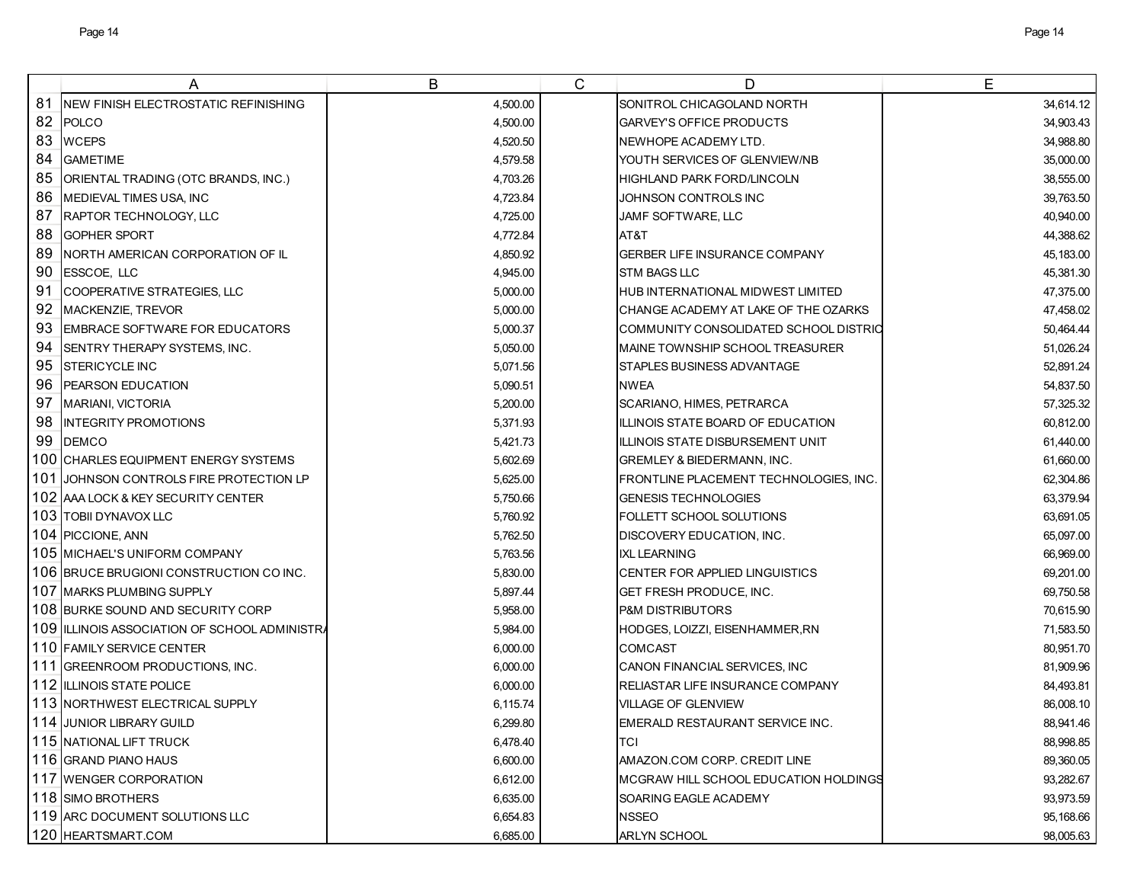|    | A                                                 | B        | $\mathsf{C}$ | D                                      | Е         |
|----|---------------------------------------------------|----------|--------------|----------------------------------------|-----------|
| 81 | NEW FINISH ELECTROSTATIC REFINISHING              | 4,500.00 |              | SONITROL CHICAGOLAND NORTH             | 34,614.12 |
| 82 | POLCO                                             | 4,500.00 |              | GARVEY'S OFFICE PRODUCTS               | 34,903.43 |
| 83 | <b>WCEPS</b>                                      | 4,520.50 |              | NEWHOPE ACADEMY LTD.                   | 34,988.80 |
| 84 | <b>GAMETIME</b>                                   | 4,579.58 |              | YOUTH SERVICES OF GLENVIEW/NB          | 35,000.00 |
| 85 | ORIENTAL TRADING (OTC BRANDS, INC.)               | 4,703.26 |              | HIGHLAND PARK FORD/LINCOLN             | 38,555.00 |
| 86 | MEDIEVAL TIMES USA, INC                           | 4,723.84 |              | JOHNSON CONTROLS INC                   | 39,763.50 |
| 87 | <b>RAPTOR TECHNOLOGY, LLC</b>                     | 4,725.00 |              | JAMF SOFTWARE, LLC                     | 40.940.00 |
| 88 | <b>GOPHER SPORT</b>                               | 4,772.84 |              | AT&T                                   | 44,388.62 |
| 89 | NORTH AMERICAN CORPORATION OF IL                  | 4,850.92 |              | GERBER LIFE INSURANCE COMPANY          | 45,183.00 |
| 90 | ESSCOE, LLC                                       | 4,945.00 |              | <b>STM BAGS LLC</b>                    | 45,381.30 |
| 91 | COOPERATIVE STRATEGIES, LLC                       | 5,000.00 |              | HUB INTERNATIONAL MIDWEST LIMITED      | 47,375.00 |
| 92 | MACKENZIE, TREVOR                                 | 5,000.00 |              | CHANGE ACADEMY AT LAKE OF THE OZARKS   | 47,458.02 |
| 93 | <b>EMBRACE SOFTWARE FOR EDUCATORS</b>             | 5,000.37 |              | COMMUNITY CONSOLIDATED SCHOOL DISTRIC  | 50,464.44 |
| 94 | SENTRY THERAPY SYSTEMS, INC.                      | 5,050.00 |              | MAINE TOWNSHIP SCHOOL TREASURER        | 51,026.24 |
| 95 | <b>ISTERICYCLE INC</b>                            | 5,071.56 |              | STAPLES BUSINESS ADVANTAGE             | 52,891.24 |
| 96 | PEARSON EDUCATION                                 | 5,090.51 |              | <b>NWEA</b>                            | 54,837.50 |
| 97 | <b>MARIANI, VICTORIA</b>                          | 5,200.00 |              | SCARIANO, HIMES, PETRARCA              | 57,325.32 |
| 98 | <b>INTEGRITY PROMOTIONS</b>                       | 5,371.93 |              | ILLINOIS STATE BOARD OF EDUCATION      | 60.812.00 |
| 99 | <b>DEMCO</b>                                      | 5,421.73 |              | ILLINOIS STATE DISBURSEMENT UNIT       | 61,440.00 |
|    | 100 CHARLES EQUIPMENT ENERGY SYSTEMS              | 5,602.69 |              | <b>GREMLEY &amp; BIEDERMANN, INC.</b>  | 61,660.00 |
|    | 101 JOHNSON CONTROLS FIRE PROTECTION LP           | 5,625.00 |              | FRONTLINE PLACEMENT TECHNOLOGIES, INC. | 62,304.86 |
|    | 102 AAA LOCK & KEY SECURITY CENTER                | 5,750.66 |              | <b>GENESIS TECHNOLOGIES</b>            | 63,379.94 |
|    | 103 TOBII DYNAVOX LLC                             | 5,760.92 |              | <b>FOLLETT SCHOOL SOLUTIONS</b>        | 63,691.05 |
|    | 104 PICCIONE, ANN                                 | 5,762.50 |              | DISCOVERY EDUCATION, INC.              | 65,097.00 |
|    | 105 MICHAEL'S UNIFORM COMPANY                     | 5,763.56 |              | <b>IXL LEARNING</b>                    | 66,969.00 |
|    | 106 BRUCE BRUGIONI CONSTRUCTION CO INC.           | 5,830.00 |              | CENTER FOR APPLIED LINGUISTICS         | 69,201.00 |
|    | 107 MARKS PLUMBING SUPPLY                         | 5,897.44 |              | GET FRESH PRODUCE, INC.                | 69,750.58 |
|    | 108 BURKE SOUND AND SECURITY CORP                 | 5,958.00 |              | <b>P&amp;M DISTRIBUTORS</b>            | 70,615.90 |
|    | 109 ILLINOIS ASSOCIATION OF SCHOOL ADMINISTRATION | 5,984.00 |              | HODGES, LOIZZI, EISENHAMMER, RN        | 71,583.50 |
|    | 110 FAMILY SERVICE CENTER                         | 6,000.00 |              | <b>COMCAST</b>                         | 80,951.70 |
|    | 111 GREENROOM PRODUCTIONS, INC.                   | 6,000.00 |              | CANON FINANCIAL SERVICES, INC          | 81,909.96 |
|    | 112 ILLINOIS STATE POLICE                         | 6,000.00 |              | RELIASTAR LIFE INSURANCE COMPANY       | 84,493.81 |
|    | 113 NORTHWEST ELECTRICAL SUPPLY                   | 6,115.74 |              | VILLAGE OF GLENVIEW                    | 86,008.10 |
|    | 114 JUNIOR LIBRARY GUILD                          | 6,299.80 |              | EMERALD RESTAURANT SERVICE INC.        | 88,941.46 |
|    | 115 NATIONAL LIFT TRUCK                           | 6,478.40 |              | TCI                                    | 88,998.85 |
|    | 116 GRAND PIANO HAUS                              | 6,600.00 |              | AMAZON.COM CORP. CREDIT LINE           | 89,360.05 |
|    | 117 WENGER CORPORATION                            | 6,612.00 |              | MCGRAW HILL SCHOOL EDUCATION HOLDINGS  | 93,282.67 |
|    | 118 SIMO BROTHERS                                 | 6,635.00 |              | SOARING EAGLE ACADEMY                  | 93,973.59 |
|    | 119 ARC DOCUMENT SOLUTIONS LLC                    | 6,654.83 |              | <b>NSSEO</b>                           | 95,168.66 |
|    | 120 HEARTSMART.COM                                | 6,685.00 |              | ARLYN SCHOOL                           | 98,005.63 |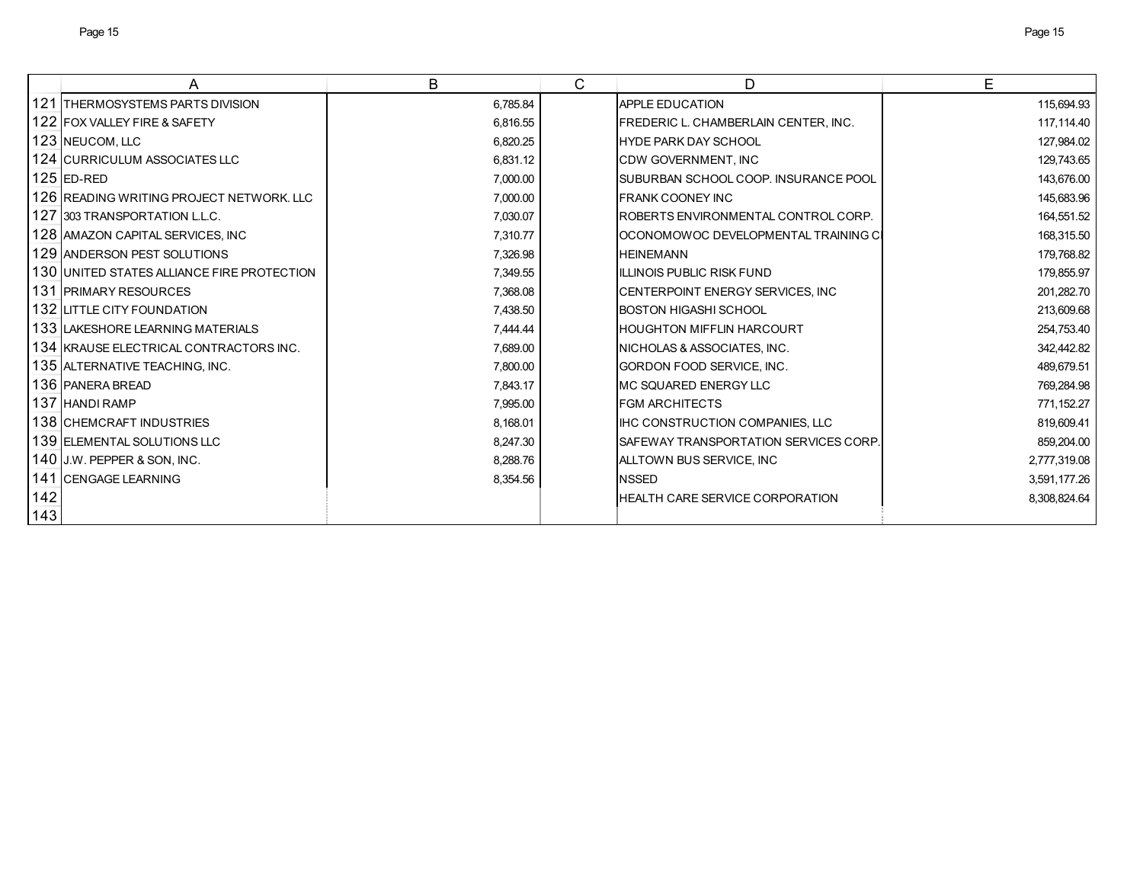|     | Α                                           | B        | C | D                                             | E            |
|-----|---------------------------------------------|----------|---|-----------------------------------------------|--------------|
|     | 121 THERMOSYSTEMS PARTS DIVISION            | 6,785.84 |   | <b>APPLE EDUCATION</b>                        | 115,694.93   |
|     | 122 FOX VALLEY FIRE & SAFETY                | 6,816.55 |   | FREDERIC L. CHAMBERLAIN CENTER, INC.          | 117,114.40   |
|     | 123 NEUCOM, LLC                             | 6,820.25 |   | <b>HYDE PARK DAY SCHOOL</b>                   | 127,984.02   |
|     | 124 CURRICULUM ASSOCIATES LLC               | 6,831.12 |   | CDW GOVERNMENT, INC                           | 129,743.65   |
|     | 125 IED-RED                                 | 7,000.00 |   | ISUBURBAN SCHOOL COOP. INSURANCE POOL         | 143,676.00   |
|     | 126  READING WRITING PROJECT NETWORK. LLC   | 7,000.00 |   | <b>IFRANK COONEY INC</b>                      | 145,683.96   |
|     | 127 303 TRANSPORTATION L.L.C.               | 7,030.07 |   | ROBERTS ENVIRONMENTAL CONTROL CORP.           | 164,551.52   |
|     | 128 AMAZON CAPITAL SERVICES, INC            | 7,310.77 |   | OCONOMOWOC DEVELOPMENTAL TRAINING CI          | 168,315.50   |
|     | 129 IANDERSON PEST SOLUTIONS                | 7,326.98 |   | <b>HEINEMANN</b>                              | 179,768.82   |
|     | 130 JUNITED STATES ALLIANCE FIRE PROTECTION | 7,349.55 |   | ILLINOIS PUBLIC RISK FUND                     | 179,855.97   |
|     | <b>131 PRIMARY RESOURCES</b>                | 7,368.08 |   | CENTERPOINT ENERGY SERVICES, INC              | 201,282.70   |
|     | 132 LITTLE CITY FOUNDATION                  | 7,438.50 |   | <b>BOSTON HIGASHI SCHOOL</b>                  | 213,609.68   |
|     | 133 ILAKESHORE LEARNING MATERIALS           | 7,444.44 |   | <b>HOUGHTON MIFFLIN HARCOURT</b>              | 254,753.40   |
|     | 134 KRAUSE ELECTRICAL CONTRACTORS INC.      | 7,689.00 |   | NICHOLAS & ASSOCIATES, INC.                   | 342,442.82   |
|     | 135 ALTERNATIVE TEACHING, INC.              | 7,800.00 |   | GORDON FOOD SERVICE, INC.                     | 489,679.51   |
|     | 136 PANERA BREAD                            | 7,843.17 |   | IMC SQUARED ENERGY LLC                        | 769,284.98   |
|     | 137 HANDI RAMP                              | 7,995.00 |   | <b>FGM ARCHITECTS</b>                         | 771,152.27   |
|     | <b>138 ICHEMCRAFT INDUSTRIES</b>            | 8,168.01 |   | IHC CONSTRUCTION COMPANIES, LLC               | 819,609.41   |
|     | 139 ELEMENTAL SOLUTIONS LLC                 | 8,247.30 |   | <b>ISAFEWAY TRANSPORTATION SERVICES CORP.</b> | 859,204.00   |
|     | 140 J.W. PEPPER & SON, INC.                 | 8,288.76 |   | ALLTOWN BUS SERVICE, INC                      | 2,777,319.08 |
|     | <b>141 ICENGAGE LEARNING</b>                | 8,354.56 |   | <b>NSSED</b>                                  | 3,591,177.26 |
| 142 |                                             |          |   | HEALTH CARE SERVICE CORPORATION               | 8,308,824.64 |
| 143 |                                             |          |   |                                               |              |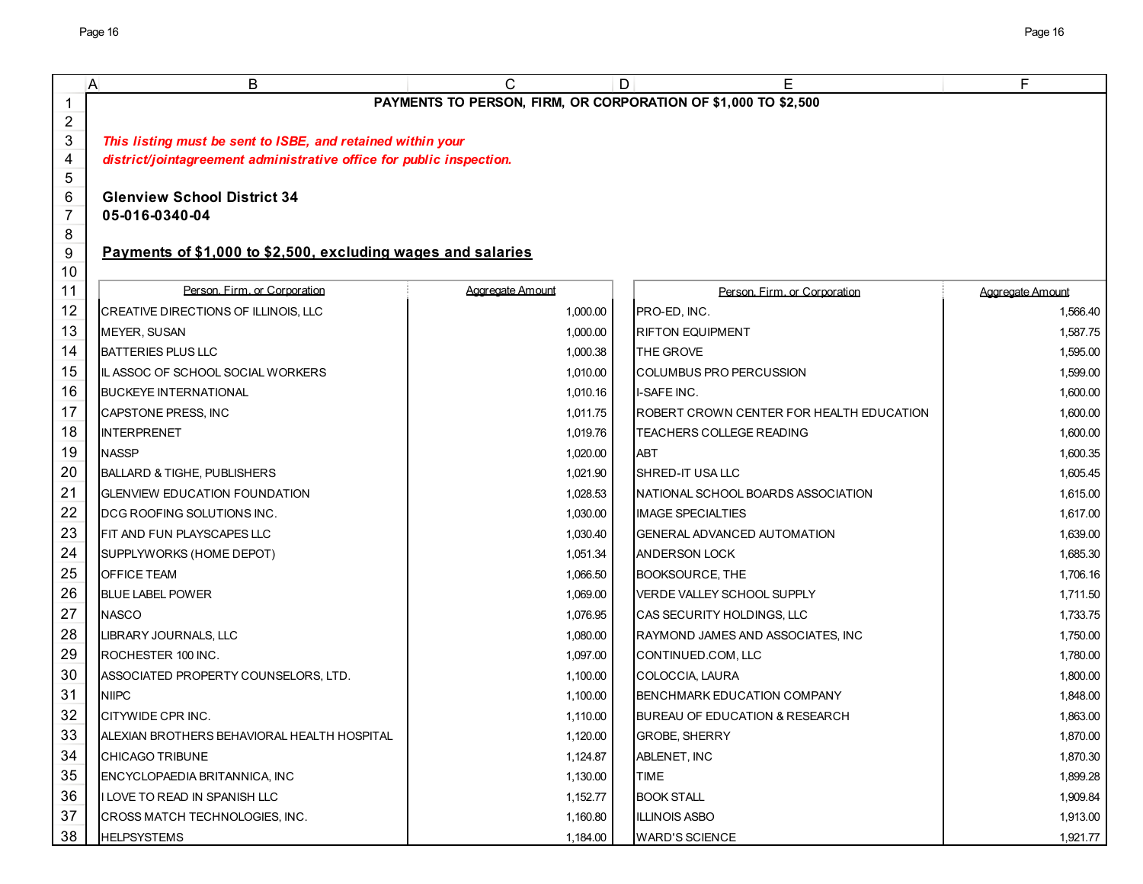|                | B<br>A                                                               | C                | E<br>D                                                         | F                |  |  |  |
|----------------|----------------------------------------------------------------------|------------------|----------------------------------------------------------------|------------------|--|--|--|
| 1              |                                                                      |                  | PAYMENTS TO PERSON, FIRM, OR CORPORATION OF \$1,000 TO \$2,500 |                  |  |  |  |
| $\overline{c}$ |                                                                      |                  |                                                                |                  |  |  |  |
| 3              | This listing must be sent to ISBE, and retained within your          |                  |                                                                |                  |  |  |  |
| 4              | district/jointagreement administrative office for public inspection. |                  |                                                                |                  |  |  |  |
| 5              |                                                                      |                  |                                                                |                  |  |  |  |
| 6              | <b>Glenview School District 34</b>                                   |                  |                                                                |                  |  |  |  |
| 7<br>8         | 05-016-0340-04                                                       |                  |                                                                |                  |  |  |  |
| 9              | Payments of \$1,000 to \$2,500, excluding wages and salaries         |                  |                                                                |                  |  |  |  |
| 10             |                                                                      |                  |                                                                |                  |  |  |  |
| 11             | Person. Firm. or Corporation                                         | Aggregate Amount | Person, Firm, or Corporation                                   | Aggregate Amount |  |  |  |
| 12             | CREATIVE DIRECTIONS OF ILLINOIS, LLC                                 | 1,000.00         | PRO-ED, INC.                                                   | 1,566.40         |  |  |  |
| 13             | <b>MEYER, SUSAN</b>                                                  | 1,000.00         | RIFTON EQUIPMENT                                               | 1,587.75         |  |  |  |
| 14             | <b>BATTERIES PLUS LLC</b>                                            | 1,000.38         | THE GROVE                                                      | 1,595.00         |  |  |  |
| 15             | IL ASSOC OF SCHOOL SOCIAL WORKERS                                    | 1,010.00         | COLUMBUS PRO PERCUSSION                                        | 1,599.00         |  |  |  |
| 16             | <b>BUCKEYE INTERNATIONAL</b>                                         | 1,010.16         | I-SAFE INC.                                                    | 1.600.00         |  |  |  |
| 17             | CAPSTONE PRESS, INC                                                  | 1,011.75         | ROBERT CROWN CENTER FOR HEALTH EDUCATION                       | 1,600.00         |  |  |  |
| 18             | <b>INTERPRENET</b>                                                   | 1,019.76         | TEACHERS COLLEGE READING                                       | 1,600.00         |  |  |  |
| 19             | <b>NASSP</b>                                                         | 1,020.00         | <b>ABT</b>                                                     | 1,600.35         |  |  |  |
| 20             | <b>BALLARD &amp; TIGHE, PUBLISHERS</b>                               | 1,021.90         | SHRED-IT USA LLC                                               | 1,605.45         |  |  |  |
| 21             | <b>GLENVIEW EDUCATION FOUNDATION</b>                                 | 1,028.53         | NATIONAL SCHOOL BOARDS ASSOCIATION                             | 1,615.00         |  |  |  |
| 22             | DCG ROOFING SOLUTIONS INC.                                           | 1,030.00         | <b>IMAGE SPECIALTIES</b>                                       | 1,617.00         |  |  |  |
| 23             | FIT AND FUN PLAYSCAPES LLC                                           | 1,030.40         | GENERAL ADVANCED AUTOMATION                                    | 1,639.00         |  |  |  |
| 24             | SUPPLYWORKS (HOME DEPOT)                                             | 1,051.34         | <b>ANDERSON LOCK</b>                                           | 1,685.30         |  |  |  |
| 25             | <b>OFFICE TEAM</b>                                                   | 1,066.50         | BOOKSOURCE, THE                                                | 1,706.16         |  |  |  |
| 26             | <b>BLUE LABEL POWER</b>                                              | 1,069.00         | VERDE VALLEY SCHOOL SUPPLY                                     | 1,711.50         |  |  |  |
| 27             | <b>NASCO</b>                                                         | 1,076.95         | CAS SECURITY HOLDINGS, LLC                                     | 1,733.75         |  |  |  |
| 28             | LIBRARY JOURNALS, LLC                                                | 1,080.00         | RAYMOND JAMES AND ASSOCIATES, INC                              | 1,750.00         |  |  |  |
| 29             | ROCHESTER 100 INC.                                                   | 1,097.00         | CONTINUED.COM, LLC                                             | 1,780.00         |  |  |  |
| 30             | ASSOCIATED PROPERTY COUNSELORS, LTD.                                 | 1,100.00         | COLOCCIA, LAURA                                                | 1,800.00         |  |  |  |
| 31             | <b>NIIPC</b>                                                         | 1,100.00         | BENCHMARK EDUCATION COMPANY                                    | 1,848.00         |  |  |  |
| 32             | CITYWIDE CPR INC.                                                    | 1,110.00         | BUREAU OF EDUCATION & RESEARCH                                 | 1,863.00         |  |  |  |
| 33             | ALEXIAN BROTHERS BEHAVIORAL HEALTH HOSPITAL                          | 1,120.00         | <b>GROBE, SHERRY</b>                                           | 1,870.00         |  |  |  |
| 34             | <b>CHICAGO TRIBUNE</b>                                               | 1,124.87         | ABLENET, INC                                                   | 1,870.30         |  |  |  |
| 35             | ENCYCLOPAEDIA BRITANNICA, INC                                        | 1,130.00         | TIME                                                           | 1,899.28         |  |  |  |
| 36             | I LOVE TO READ IN SPANISH LLC                                        | 1,152.77         | <b>BOOK STALL</b>                                              | 1,909.84         |  |  |  |
| 37             | CROSS MATCH TECHNOLOGIES, INC.                                       | 1,160.80         | <b>ILLINOIS ASBO</b>                                           | 1,913.00         |  |  |  |
| 38             | <b>HELPSYSTEMS</b>                                                   | 1,184.00         | <b>WARD'S SCIENCE</b>                                          | 1,921.77         |  |  |  |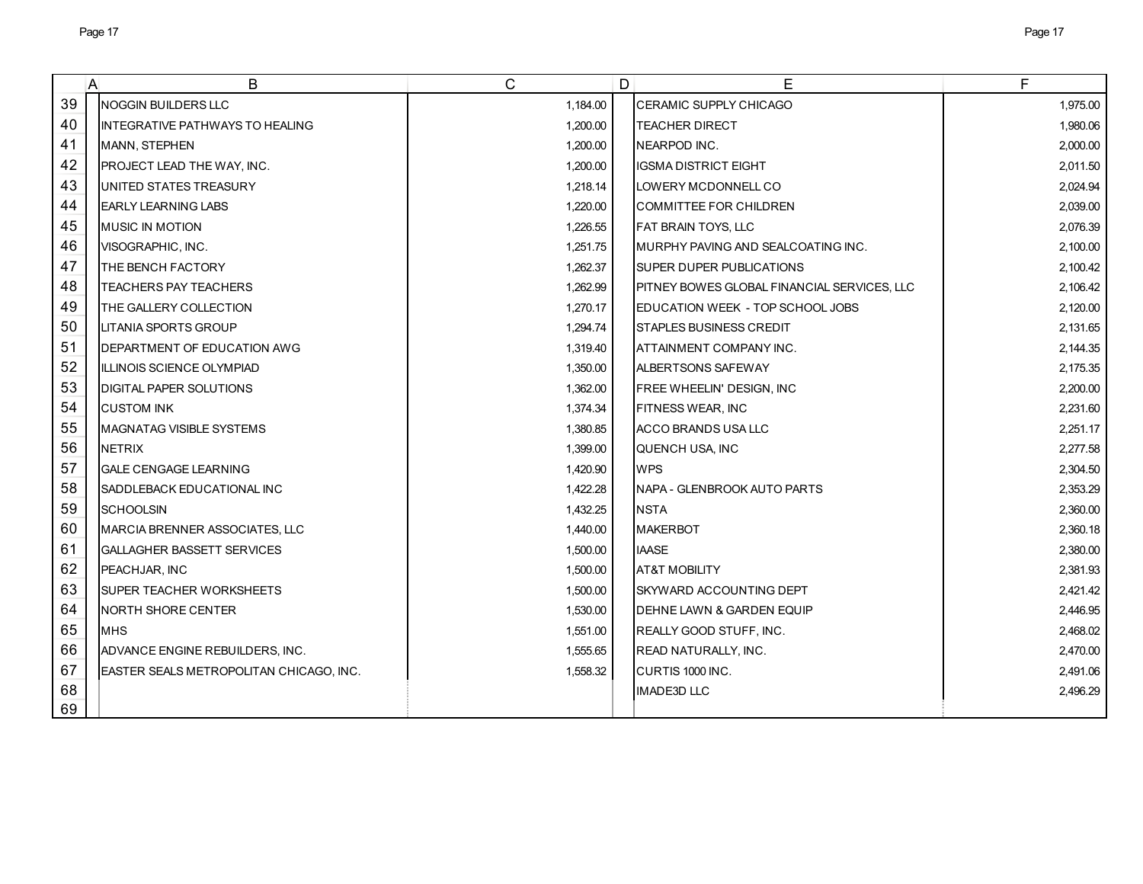|    | B<br>$\mathsf{A}$                        | C        | D | Е                                           | F        |
|----|------------------------------------------|----------|---|---------------------------------------------|----------|
| 39 | <b>NOGGIN BUILDERS LLC</b>               | 1,184.00 |   | <b>CERAMIC SUPPLY CHICAGO</b>               | 1,975.00 |
| 40 | IINTEGRATIVE PATHWAYS TO HEALING         | 1.200.00 |   | <b>TEACHER DIRECT</b>                       | 1,980.06 |
| 41 | MANN, STEPHEN                            | 1,200.00 |   | NEARPOD INC.                                | 2,000.00 |
| 42 | <b>PROJECT LEAD THE WAY, INC.</b>        | 1,200.00 |   | <b>IGSMA DISTRICT EIGHT</b>                 | 2,011.50 |
| 43 | UNITED STATES TREASURY                   | 1,218.14 |   | LOWERY MCDONNELL CO                         | 2,024.94 |
| 44 | <b>IEARLY LEARNING LABS</b>              | 1,220.00 |   | COMMITTEE FOR CHILDREN                      | 2,039.00 |
| 45 | <b>IMUSIC IN MOTION</b>                  | 1,226.55 |   | FAT BRAIN TOYS, LLC                         | 2,076.39 |
| 46 | VISOGRAPHIC, INC.                        | 1,251.75 |   | MURPHY PAVING AND SEALCOATING INC.          | 2,100.00 |
| 47 | THE BENCH FACTORY                        | 1,262.37 |   | SUPER DUPER PUBLICATIONS                    | 2,100.42 |
| 48 | <b>TEACHERS PAY TEACHERS</b>             | 1,262.99 |   | PITNEY BOWES GLOBAL FINANCIAL SERVICES, LLC | 2,106.42 |
| 49 | THE GALLERY COLLECTION                   | 1,270.17 |   | EDUCATION WEEK - TOP SCHOOL JOBS            | 2,120.00 |
| 50 | <b>LITANIA SPORTS GROUP</b>              | 1,294.74 |   | <b>STAPLES BUSINESS CREDIT</b>              | 2,131.65 |
| 51 | DEPARTMENT OF EDUCATION AWG              | 1.319.40 |   | ATTAINMENT COMPANY INC.                     | 2,144.35 |
| 52 | IILLINOIS SCIENCE OLYMPIAD               | 1,350.00 |   | ALBERTSONS SAFEWAY                          | 2,175.35 |
| 53 | <b>DIGITAL PAPER SOLUTIONS</b>           | 1,362.00 |   | <b>FREE WHEELIN' DESIGN, INC</b>            | 2,200.00 |
| 54 | <b>CUSTOM INK</b>                        | 1,374.34 |   | FITNESS WEAR, INC                           | 2,231.60 |
| 55 | <b>MAGNATAG VISIBLE SYSTEMS</b>          | 1,380.85 |   | ACCO BRANDS USA LLC                         | 2,251.17 |
| 56 | <b>NETRIX</b>                            | 1,399.00 |   | QUENCH USA, INC                             | 2,277.58 |
| 57 | <b>GALE CENGAGE LEARNING</b>             | 1,420.90 |   | <b>WPS</b>                                  | 2,304.50 |
| 58 | SADDLEBACK EDUCATIONAL INC               | 1,422.28 |   | NAPA - GLENBROOK AUTO PARTS                 | 2,353.29 |
| 59 | <b>SCHOOLSIN</b>                         | 1,432.25 |   | <b>NSTA</b>                                 | 2,360.00 |
| 60 | MARCIA BRENNER ASSOCIATES, LLC           | 1,440.00 |   | <b>MAKERBOT</b>                             | 2,360.18 |
| 61 | <b>GALLAGHER BASSETT SERVICES</b>        | 1,500.00 |   | <b>IAASE</b>                                | 2,380.00 |
| 62 | PEACHJAR, INC                            | 1,500.00 |   | <b>AT&amp;T MOBILITY</b>                    | 2,381.93 |
| 63 | ISUPER TEACHER WORKSHEETS                | 1,500.00 |   | SKYWARD ACCOUNTING DEPT                     | 2,421.42 |
| 64 | INORTH SHORE CENTER                      | 1,530.00 |   | DEHNE LAWN & GARDEN EQUIP                   | 2,446.95 |
| 65 | <b>MHS</b>                               | 1.551.00 |   | REALLY GOOD STUFF, INC.                     | 2,468.02 |
| 66 | ADVANCE ENGINE REBUILDERS, INC.          | 1,555.65 |   | READ NATURALLY, INC.                        | 2,470.00 |
| 67 | IEASTER SEALS METROPOLITAN CHICAGO, INC. | 1,558.32 |   | CURTIS 1000 INC.                            | 2,491.06 |
| 68 |                                          |          |   | <b>IMADE3D LLC</b>                          | 2,496.29 |
| 69 |                                          |          |   |                                             |          |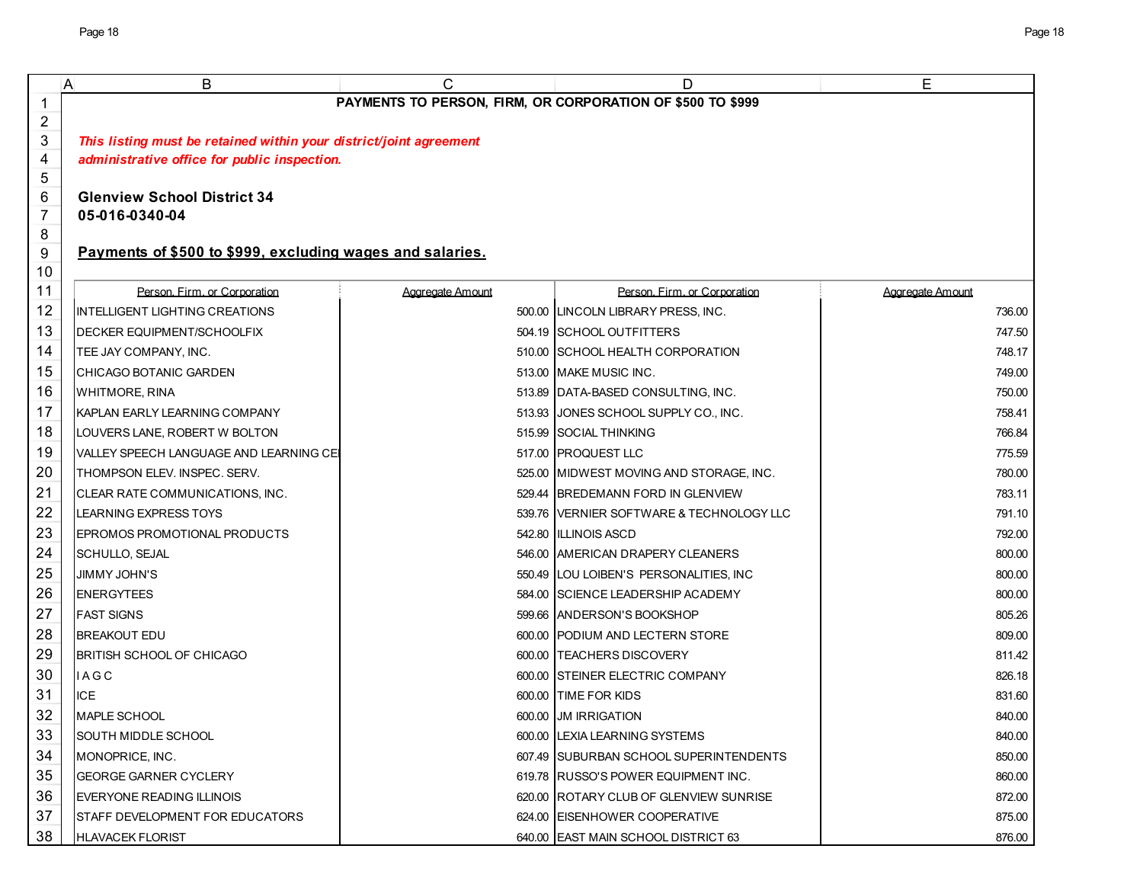| A              | В                                                                  | C                | D                                        | Е                |  |  |
|----------------|--------------------------------------------------------------------|------------------|------------------------------------------|------------------|--|--|
| 1              | PAYMENTS TO PERSON, FIRM, OR CORPORATION OF \$500 TO \$999         |                  |                                          |                  |  |  |
| $\overline{2}$ |                                                                    |                  |                                          |                  |  |  |
| 3              | This listing must be retained within your district/joint agreement |                  |                                          |                  |  |  |
| 4              | administrative office for public inspection.                       |                  |                                          |                  |  |  |
| 5              |                                                                    |                  |                                          |                  |  |  |
| 6              | <b>Glenview School District 34</b>                                 |                  |                                          |                  |  |  |
| $\overline{7}$ | 05-016-0340-04                                                     |                  |                                          |                  |  |  |
| 8<br>9         | Payments of \$500 to \$999, excluding wages and salaries.          |                  |                                          |                  |  |  |
| 10             |                                                                    |                  |                                          |                  |  |  |
| 11             | Person, Firm, or Corporation                                       | Aggregate Amount | Person, Firm, or Corporation             | Aggregate Amount |  |  |
| 12             | <b>INTELLIGENT LIGHTING CREATIONS</b>                              |                  | 500.00 LINCOLN LIBRARY PRESS, INC.       | 736.00           |  |  |
| 13             | DECKER EQUIPMENT/SCHOOLFIX                                         |                  | 504.19 SCHOOL OUTFITTERS                 | 747.50           |  |  |
| 14             | TEE JAY COMPANY, INC.                                              |                  | 510.00 SCHOOL HEALTH CORPORATION         | 748.17           |  |  |
| 15             | CHICAGO BOTANIC GARDEN                                             |                  | 513.00 MAKE MUSIC INC.                   | 749.00           |  |  |
| 16             | <b>WHITMORE, RINA</b>                                              |                  | 513.89 DATA-BASED CONSULTING, INC.       | 750.00           |  |  |
| 17             | KAPLAN EARLY LEARNING COMPANY                                      |                  | 513.93 JONES SCHOOL SUPPLY CO., INC.     | 758.41           |  |  |
| 18             | LOUVERS LANE, ROBERT W BOLTON                                      |                  | 515.99 SOCIAL THINKING                   | 766.84           |  |  |
| 19             | VALLEY SPEECH LANGUAGE AND LEARNING CEI                            |                  | 517.00 PROQUEST LLC                      | 775.59           |  |  |
| 20             | THOMPSON ELEV. INSPEC. SERV.                                       |                  | 525.00 IMIDWEST MOVING AND STORAGE, INC. | 780.00           |  |  |
| 21             | CLEAR RATE COMMUNICATIONS, INC.                                    |                  | 529.44 BREDEMANN FORD IN GLENVIEW        | 783.11           |  |  |
| 22             | LEARNING EXPRESS TOYS                                              |                  | 539.76 VERNIER SOFTWARE & TECHNOLOGY LLC | 791.10           |  |  |
| 23             | EPROMOS PROMOTIONAL PRODUCTS                                       |                  | 542.80 ILLINOIS ASCD                     | 792.00           |  |  |
| 24             | <b>SCHULLO, SEJAL</b>                                              |                  | 546.00 AMERICAN DRAPERY CLEANERS         | 800.00           |  |  |
| 25             | <b>JIMMY JOHN'S</b>                                                |                  | 550.49 LOU LOIBEN'S PERSONALITIES, INC   | 800.00           |  |  |
| 26             | <b>ENERGYTEES</b>                                                  |                  | 584.00 SCIENCE LEADERSHIP ACADEMY        | 800.00           |  |  |
| 27             | <b>FAST SIGNS</b>                                                  |                  | 599.66 ANDERSON'S BOOKSHOP               | 805.26           |  |  |
| 28             | <b>BREAKOUT EDU</b>                                                |                  | 600.00 PODIUM AND LECTERN STORE          | 809.00           |  |  |
| 29             | <b>BRITISH SCHOOL OF CHICAGO</b>                                   |                  | 600.00 TEACHERS DISCOVERY                | 811.42           |  |  |
| 30             | <b>IAGC</b>                                                        |                  | 600.00 STEINER ELECTRIC COMPANY          | 826.18           |  |  |
| 31             | <b>ICE</b>                                                         |                  | 600.00 TIME FOR KIDS                     | 831.60           |  |  |
| 32             | MAPLE SCHOOL                                                       |                  | 600.00 JM IRRIGATION                     | 840.00           |  |  |
| 33             | SOUTH MIDDLE SCHOOL                                                |                  | 600.00 LEXIA LEARNING SYSTEMS            | 840.00           |  |  |
| 34             | MONOPRICE, INC.                                                    |                  | 607.49 SUBURBAN SCHOOL SUPERINTENDENTS   | 850.00           |  |  |
| 35             | <b>GEORGE GARNER CYCLERY</b>                                       |                  | 619.78 RUSSO'S POWER EQUIPMENT INC.      | 860.00           |  |  |
| 36             | EVERYONE READING ILLINOIS                                          |                  | 620.00 IROTARY CLUB OF GLENVIEW SUNRISE  | 872.00           |  |  |
| 37             | STAFF DEVELOPMENT FOR EDUCATORS                                    |                  | 624.00 EISENHOWER COOPERATIVE            | 875.00           |  |  |
| 38             | <b>HLAVACEK FLORIST</b>                                            |                  | 640.00 EAST MAIN SCHOOL DISTRICT 63      | 876.00           |  |  |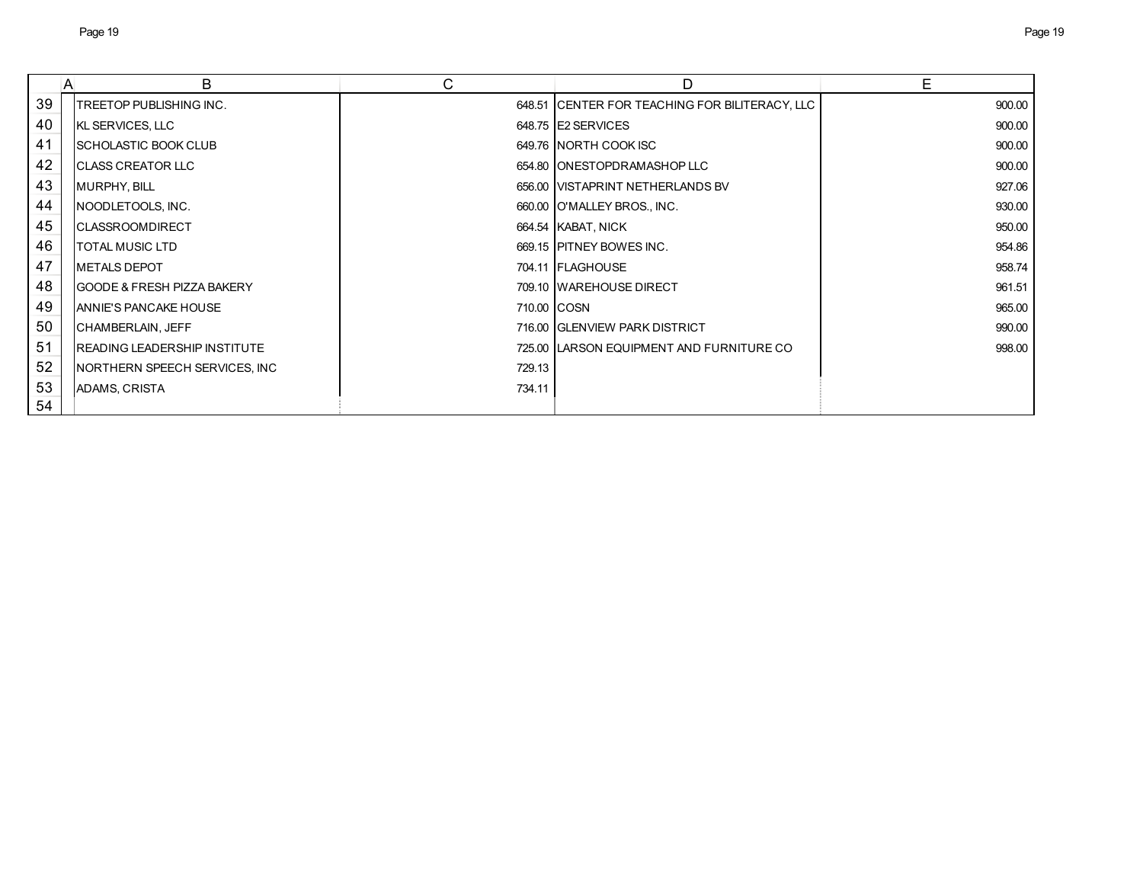|    | B<br>A                                | С      | D                                              | Е      |
|----|---------------------------------------|--------|------------------------------------------------|--------|
| 39 | TREETOP PUBLISHING INC.               |        | 648.51 CENTER FOR TEACHING FOR BILITERACY, LLC | 900.00 |
| 40 | KL SERVICES, LLC                      |        | 648.75 E2 SERVICES                             | 900.00 |
| 41 | <b>SCHOLASTIC BOOK CLUB</b>           |        | 649.76 NORTH COOK ISC                          | 900.00 |
| 42 | <b>ICLASS CREATOR LLC</b>             |        | 654.80 IONESTOPDRAMASHOP LLC                   | 900.00 |
| 43 | MURPHY, BILL                          |        | 656.00 VISTAPRINT NETHERLANDS BV               | 927.06 |
| 44 | NOODLETOOLS, INC.                     |        | 660.00 O'MALLEY BROS., INC.                    | 930.00 |
| 45 | <b>CLASSROOMDIRECT</b>                |        | 664.54 KABAT, NICK                             | 950.00 |
| 46 | <b>TOTAL MUSIC LTD</b>                |        | 669.15 PITNEY BOWES INC.                       | 954.86 |
| 47 | <b>METALS DEPOT</b>                   |        | 704.11 FLAGHOUSE                               | 958.74 |
| 48 | <b>GOODE &amp; FRESH PIZZA BAKERY</b> |        | 709.10 WAREHOUSE DIRECT                        | 961.51 |
| 49 | ANNIE'S PANCAKE HOUSE                 |        | 710.00 COSN                                    | 965.00 |
| 50 | CHAMBERLAIN, JEFF                     |        | 716.00 GLENVIEW PARK DISTRICT                  | 990.00 |
| 51 | <b>READING LEADERSHIP INSTITUTE</b>   |        | 725.00 LARSON EQUIPMENT AND FURNITURE CO       | 998.00 |
| 52 | NORTHERN SPEECH SERVICES, INC         | 729.13 |                                                |        |
| 53 | <b>ADAMS, CRISTA</b>                  | 734.11 |                                                |        |
| 54 |                                       |        |                                                |        |